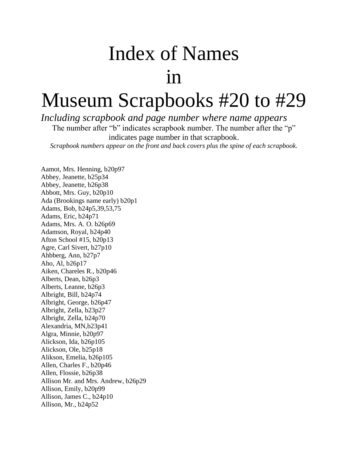## Index of Names in

## Museum Scrapbooks #20 to #29

*Including scrapbook and page number where name appears* 

The number after "b" indicates scrapbook number. The number after the "p" indicates page number in that scrapbook.

*Scrapbook numbers appear on the front and back covers plus the spine of each scrapbook.*

Aamot, Mrs. Henning, b20p97 Abbey, Jeanette, b25p34 Abbey, Jeanette, b26p38 Abbott, Mrs. Guy, b20p10 Ada (Brookings name early) b20p1 Adams, Bob, b24p5,39,53,75 Adams, Eric, b24p71 Adams, Mrs. A. O. b26p69 Adamson, Royal, b24p40 Afton School #15, b20p13 Agre, Carl Sivert, b27p10 Ahbberg, Ann, b27p7 Aho, Al, b26p17 Aiken, Chareles R., b20p46 Alberts, Dean, b26p3 Alberts, Leanne, b26p3 Albright, Bill, b24p74 Albright, George, b26p47 Albright, Zella, b23p27 Albright, Zella, b24p70 Alexandria, MN,b23p41 Algra, Minnie, b20p97 Alickson, Ida, b26p105 Alickson, Ole, b25p18 Alikson, Emelia, b26p105 Allen, Charles F., b20p46 Allen, Flossie, b26p38 Allison Mr. and Mrs. Andrew, b26p29 Allison, Emily, b20p99 Allison, James C., b24p10 Allison, Mr., b24p52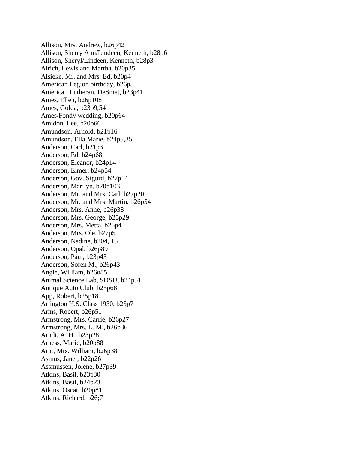Allison, Mrs. Andrew, b26p42 Allison, Sherry Ann/Lindeen, Kenneth, b28p6 Allison, Sheryl/Lindeen, Kenneth, b28p3 Alrich, Lewis and Martha, b20p35 Alsieke, Mr. and Mrs. Ed, b20p4 American Legion birthday, b26p5 American Lutheran, DeSmet, b23p41 Ames, Ellen, b26p108 Ames, Golda, b23p9,54 Ames/Fondy wedding, b20p64 Amidon, Lee, b20p66 Amundson, Arnold, b21p16 Amundson, Ella Marie, b24p5,35 Anderson, Carl, b21p3 Anderson, Ed, b24p68 Anderson, Eleanor, b24p14 Anderson, Elmer, b24p54 Anderson, Gov. Sigurd, b27p14 Anderson, Marilyn, b20p103 Anderson, Mr. and Mrs. Carl, b27p20 Anderson, Mr. and Mrs. Martin, b26p54 Anderson, Mrs. Anne, b26p38 Anderson, Mrs. George, b25p29 Anderson, Mrs. Metta, b26p4 Anderson, Mrs. Ole, b27p5 Anderson, Nadine, b204, 15 Anderson, Opal, b26p89 Anderson, Paul, b23p43 Anderson, Soren M., b26p43 Angle, William, b26o85 Animal Science Lab, SDSU, b24p51 Antique Auto Club, b25p68 App, Robert, b25p18 Arlington H.S. Class 1930, b25p7 Arms, Robert, b26p51 Armstrong, Mrs. Carrie, b26p27 Armstrong, Mrs. L. M., b26p36 Arndt, A. H., b23p28 Arness, Marie, b20p88 Arnt, Mrs. William, b26p38 Asmus, Janet, b22p26 Assmussen, Jolene, b27p39 Atkins, Basil, b23p30 Atkins, Basil, b24p23 Atkins, Oscar, b20p81 Atkins, Richard, b26;7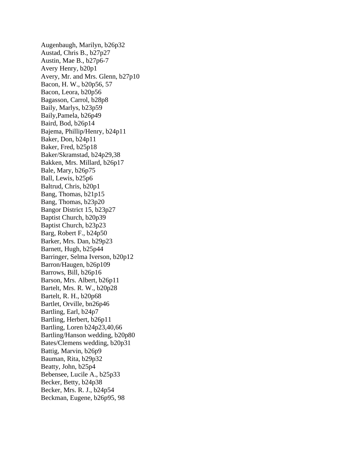Augenbaugh, Marilyn, b26p32 Austad, Chris B., b27p27 Austin, Mae B., b27p6-7 Avery Henry, b20p1 Avery, Mr. and Mrs. Glenn, b27p10 Bacon, H. W., b20p56, 57 Bacon, Leora, b20p56 Bagasson, Carrol, b28p8 Baily, Marlys, b23p59 Baily,Pamela, b26p49 Baird, Bod, b26p14 Bajema, Phillip/Henry, b24p11 Baker, Don, b24p11 Baker, Fred, b25p18 Baker/Skramstad, b24p29,38 Bakken, Mrs. Millard, b26p17 Bale, Mary, b26p75 Ball, Lewis, b25p6 Baltrud, Chris, b20p1 Bang, Thomas, b21p15 Bang, Thomas, b23p20 Bangor District 15, b23p27 Baptist Church, b20p39 Baptist Church, b23p23 Barg, Robert F., b24p50 Barker, Mrs. Dan, b29p23 Barnett, Hugh, b25p44 Barringer, Selma Iverson, b20p12 Barron/Haugen, b26p109 Barrows, Bill, b26p16 Barson, Mrs. Albert, b26p11 Bartelt, Mrs. R. W., b20p28 Bartelt, R. H., b20p68 Bartlet, Orville, bn26p46 Bartling, Earl, b24p7 Bartling, Herbert, b26p11 Bartling, Loren b24p23,40,66 Bartling/Hanson wedding, b20p80 Bates/Clemens wedding, b20p31 Battig, Marvin, b26p9 Bauman, Rita, b29p32 Beatty, John, b25p4 Bebensee, Lucile A., b25p33 Becker, Betty, b24p38 Becker, Mrs. R. J., b24p54 Beckman, Eugene, b26p95, 98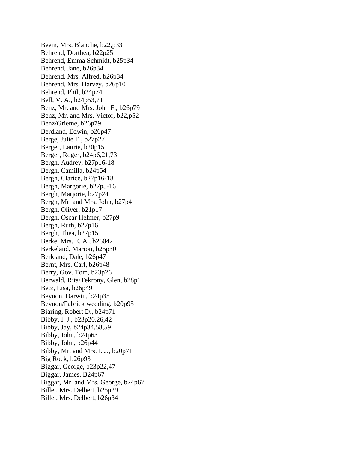Beem, Mrs. Blanche, b22,p33 Behrend, Dorthea, b22p25 Behrend, Emma Schmidt, b25p34 Behrend, Jane, b26p34 Behrend, Mrs. Alfred, b26p34 Behrend, Mrs. Harvey, b26p10 Behrend, Phil, b24p74 Bell, V. A., b24p53,71 Benz, Mr. and Mrs. John F., b26p79 Benz, Mr. and Mrs. Victor, b22,p52 Benz/Grieme, b26p79 Berdland, Edwin, b26p47 Berge, Julie E., b27p27 Berger, Laurie, b20p15 Berger, Roger, b24p6,21,73 Bergh, Audrey, b27p16-18 Bergh, Camilla, b24p54 Bergh, Clarice, b27p16-18 Bergh, Margorie, b27p5-16 Bergh, Marjorie, b27p24 Bergh, Mr. and Mrs. John, b27p4 Bergh, Oliver, b21p17 Bergh, Oscar Helmer, b27p9 Bergh, Ruth, b27p16 Bergh, Thea, b27p15 Berke, Mrs. E. A., b26042 Berkeland, Marion, b25p30 Berkland, Dale, b26p47 Bernt, Mrs. Carl, b26p48 Berry, Gov. Tom, b23p26 Berwald, Rita/Tekrony, Glen, b28p1 Betz, Lisa, b26p49 Beynon, Darwin, b24p35 Beynon/Fabrick wedding, b20p95 Biaring, Robert D., b24p71 Bibby, I. J., b23p20,26,42 Bibby, Jay, b24p34,58,59 Bibby, John, b24p63 Bibby, John, b26p44 Bibby, Mr. and Mrs. I. J., b20p71 Big Rock, b26p93 Biggar, George, b23p22,47 Biggar, James. B24p67 Biggar, Mr. and Mrs. George, b24p67 Billet, Mrs. Delbert, b25p29 Billet, Mrs. Delbert, b26p34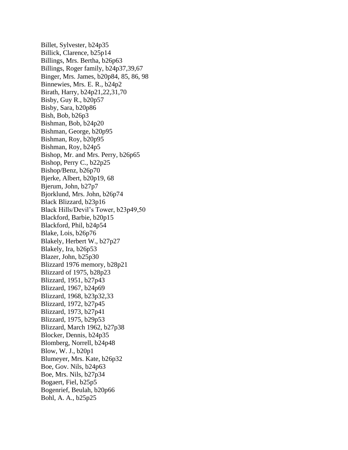Billet, Sylvester, b24p35 Billick, Clarence, b25p14 Billings, Mrs. Bertha, b26p63 Billings, Roger family, b24p37,39,67 Binger, Mrs. James, b20p84, 85, 86, 98 Binnewies, Mrs. E. R., b24p2 Birath, Harry, b24p21,22,31,70 Bisby, Guy R., b20p57 Bisby, Sara, b20p86 Bish, Bob, b26p3 Bishman, Bob, b24p20 Bishman, George, b20p95 Bishman, Roy, b20p95 Bishman, Roy, b24p5 Bishop, Mr. and Mrs. Perry, b26p65 Bishop, Perry C., b22p25 Bishop/Benz, b26p70 Bjerke, Albert, b20p19, 68 Bjerum, John, b27p7 Bjorklund, Mrs. John, b26p74 Black Blizzard, b23p16 Black Hills/Devil's Tower, b23p49,50 Blackford, Barbie, b20p15 Blackford, Phil, b24p54 Blake, Lois, b26p76 Blakely, Herbert W., b27p27 Blakely, Ira, b26p53 Blazer, John, b25p30 Blizzard 1976 memory, b28p21 Blizzard of 1975, b28p23 Blizzard, 1951, b27p43 Blizzard, 1967, b24p69 Blizzard, 1968, b23p32,33 Blizzard, 1972, b27p45 Blizzard, 1973, b27p41 Blizzard, 1975, b29p53 Blizzard, March 1962, b27p38 Blocker, Dennis, b24p35 Blomberg, Norrell, b24p48 Blow, W. J., b20p1 Blumeyer, Mrs. Kate, b26p32 Boe, Gov. Nils, b24p63 Boe, Mrs. Nils, b27p34 Bogaert, Fiel, b25p5 Bogenrief, Beulah, b20p66 Bohl, A. A., b25p25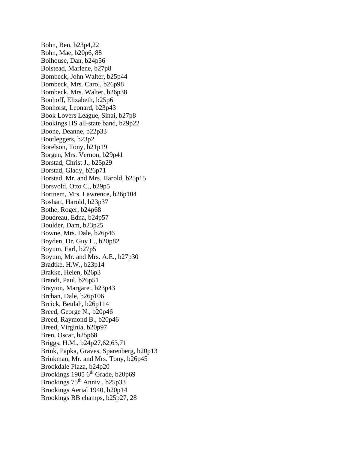Bohn, Ben, b23p4,22 Bohn, Mae, b20p6, 88 Bolhouse, Dan, b24p56 Bolstead, Marlene, b27p8 Bombeck, John Walter, b25p44 Bombeck, Mrs. Carol, b26p98 Bombeck, Mrs. Walter, b26p38 Bonhoff, Elizabeth, b25p6 Bonhorst, Leonard, b23p43 Book Lovers League, Sinai, b27p8 Bookings HS all-state band, b29p22 Boone, Deanne, b22p33 Bootleggers, b23p2 Borelson, Tony, b21p19 Borgen, Mrs. Vernon, b29p41 Borstad, Christ J., b25p29 Borstad, Glady, b26p71 Borstad, Mr. and Mrs. Harold, b25p15 Borsvold, Otto C., b29p5 Bortnem, Mrs. Lawrence, b26p104 Boshart, Harold, b23p37 Bothe, Roger, b24p68 Boudreau, Edna, b24p57 Boulder, Dam, b23p25 Bowne, Mrs. Dale, b26p46 Boyden, Dr. Guy L., b20p82 Boyum, Earl, b27p5 Boyum, Mr. and Mrs. A.E., b27p30 Bradtke, H.W., b23p14 Brakke, Helen, b26p3 Brandt, Paul, b26p51 Brayton, Margaret, b23p43 Brchan, Dale, b26p106 Brcick, Beulah, b26p114 Breed, George N., b20p46 Breed, Raymond B., b20p46 Breed, Virginia, b20p97 Bren, Oscar, b25p68 Briggs, H.M., b24p27,62,63,71 Brink, Papka, Graves, Sparenberg, b20p13 Brinkman, Mr. and Mrs. Tony, b26p45 Brookdale Plaza, b24p20 Brookings 1905  $6<sup>th</sup>$  Grade, b20p69 Brookings 75<sup>th</sup> Anniv., b25p33 Brookings Aerial 1940, b20p14 Brookings BB champs, b25p27, 28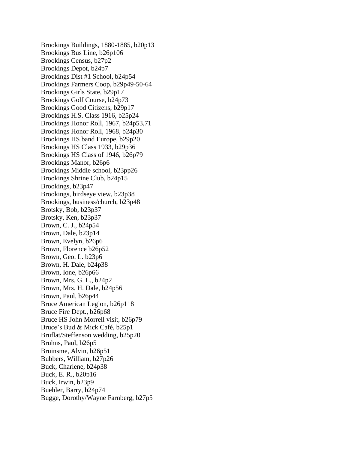Brookings Buildings, 1880-1885, b20p13 Brookings Bus Line, b26p106 Brookings Census, b27p2 Brookings Depot, b24p7 Brookings Dist #1 School, b24p54 Brookings Farmers Coop, b29p49-50-64 Brookings Girls State, b29p17 Brookings Golf Course, b24p73 Brookings Good Citizens, b29p17 Brookings H.S. Class 1916, b25p24 Brookings Honor Roll, 1967, b24p53,71 Brookings Honor Roll, 1968, b24p30 Brookings HS band Europe, b29p20 Brookings HS Class 1933, b29p36 Brookings HS Class of 1946, b26p79 Brookings Manor, b26p6 Brookings Middle school, b23pp26 Brookings Shrine Club, b24p15 Brookings, b23p47 Brookings, birdseye view, b23p38 Brookings, business/church, b23p48 Brotsky, Bob, b23p37 Brotsky, Ken, b23p37 Brown, C. J., b24p54 Brown, Dale, b23p14 Brown, Evelyn, b26p6 Brown, Florence b26p52 Brown, Geo. L. b23p6 Brown, H. Dale, b24p38 Brown, Ione, b26p66 Brown, Mrs. G. L., b24p2 Brown, Mrs. H. Dale, b24p56 Brown, Paul, b26p44 Bruce American Legion, b26p118 Bruce Fire Dept., b26p68 Bruce HS John Morrell visit, b26p79 Bruce's Bud & Mick Café, b25p1 Bruflat/Steffenson wedding, b25p20 Bruhns, Paul, b26p5 Bruinsme, Alvin, b26p51 Bubbers, William, b27p26 Buck, Charlene, b24p38 Buck, E. R., b20p16 Buck, Irwin, b23p9 Buehler, Barry, b24p74 Bugge, Dorothy/Wayne Farnberg, b27p5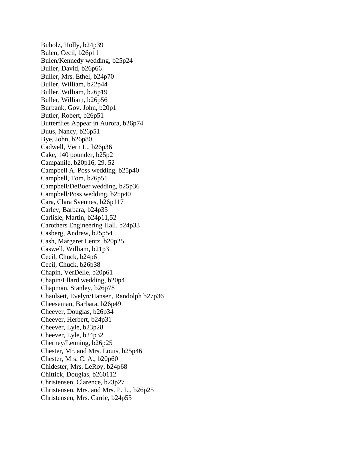Buholz, Holly, b24p39 Bulen, Cecil, b26p11 Bulen/Kennedy wedding, b25p24 Buller, David, b26p66 Buller, Mrs. Ethel, b24p70 Buller, William, b22p44 Buller, William, b26p19 Buller, William, b26p56 Burbank, Gov. John, b20p1 Butler, Robert, b26p51 Butterflies Appear in Aurora, b26p74 Buus, Nancy, b26p51 Bye, John, b26p80 Cadwell, Vern L., b26p36 Cake, 140 pounder, b25p2 Campanile, b20p16, 29, 52 Campbell A. Poss wedding, b25p40 Campbell, Tom, b26p51 Campbell/DeBoer wedding, b25p36 Campbell/Poss wedding, b25p40 Cara, Clara Svennes, b26p117 Carley, Barbara, b24p35 Carlisle, Martin, b24p11,52 Carothers Engineering Hall, b24p33 Casberg, Andrew, b25p54 Cash, Margaret Lentz, b20p25 Caswell, William, b21p3 Cecil, Chuck, b24p6 Cecil, Chuck, b26p38 Chapin, VerDelle, b20p61 Chapin/Ellard wedding, b20p4 Chapman, Stanley, b26p78 Chaulsett, Evelyn/Hansen, Randolph b27p36 Cheeseman, Barbara, b26p49 Cheever, Douglas, b26p34 Cheever, Herbert, b24p31 Cheever, Lyle, b23p28 Cheever, Lyle, b24p32 Cherney/Leuning, b26p25 Chester, Mr. and Mrs. Louis, b25p46 Chester, Mrs. C. A., b20p60 Chidester, Mrs. LeRoy, b24p68 Chittick, Douglas, b260112 Christensen, Clarence, b23p27 Christensen, Mrs. and Mrs. P. L., b26p25 Christensen, Mrs. Carrie, b24p55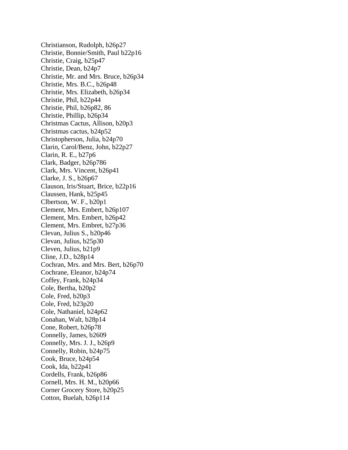Christianson, Rudolph, b26p27 Christie, Bonnie/Smith, Paul b22p16 Christie, Craig, b25p47 Christie, Dean, b24p7 Christie, Mr. and Mrs. Bruce, b26p34 Christie, Mrs. B.C., b26p48 Christie, Mrs. Elizabeth, b26p34 Christie, Phil, b22p44 Christie, Phil, b26p82, 86 Christie, Phillip, b26p34 Christmas Cactus, Allison, b20p3 Christmas cactus, b24p52 Christopherson, Julia, b24p70 Clarin, Carol/Benz, John, b22p27 Clarin, R. E., b27p6 Clark, Badger, b26p786 Clark, Mrs. Vincent, b26p41 Clarke, J. S., b26p67 Clauson, Iris/Stuart, Brice, b22p16 Claussen, Hank, b25p45 Clbertson, W. F., b20p1 Clement, Mrs. Embert, b26p107 Clement, Mrs. Embert, b26p42 Clement, Mrs. Embret, b27p36 Clevan, Julius S., b20p46 Clevan, Julius, b25p30 Cleven, Julius, b21p9 Cline, J.D., b28p14 Cochran, Mrs. and Mrs. Bert, b26p70 Cochrane, Eleanor, b24p74 Coffey, Frank, b24p34 Cole, Bertha, b20p2 Cole, Fred, b20p3 Cole, Fred, b23p20 Cole, Nathaniel, b24p62 Conahan, Walt, b28p14 Cone, Robert, b26p78 Connelly, James, b2609 Connelly, Mrs. J. J., b26p9 Connelly, Robin, b24p75 Cook, Bruce, b24p54 Cook, Ida, b22p41 Cordells, Frank, b26p86 Cornell, Mrs. H. M., b20p66 Corner Grocery Store, b20p25 Cotton, Buelah, b26p114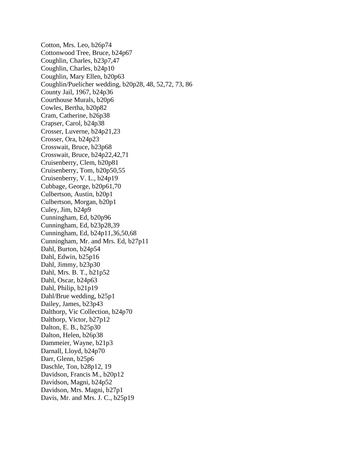Cotton, Mrs. Leo, b26p74 Cottonwood Tree, Bruce, b24p67 Coughlin, Charles, b23p7,47 Coughlin, Charles, b24p10 Coughlin, Mary Ellen, b20p63 Coughlin/Puelicher wedding, b20p28, 48, 52,72, 73, 86 County Jail, 1967, b24p36 Courthouse Murals, b20p6 Cowles, Bertha, b20p82 Cram, Catherine, b26p38 Crapser, Carol, b24p38 Crosser, Luverne, b24p21,23 Crosser, Ora, b24p23 Crosswait, Bruce, b23p68 Crosswait, Bruce, b24p22,42,71 Cruisenberry, Clem, b20p81 Cruisenberry, Tom, b20p50,55 Cruisenberry, V. L., b24p19 Cubbage, George, b20p61,70 Culbertson, Austin, b20p1 Culbertson, Morgan, b20p1 Culey, Jim, b24p9 Cunningham, Ed, b20p96 Cunningham, Ed, b23p28,39 Cunningham, Ed, b24p11,36,50,68 Cunningham, Mr. and Mrs. Ed, b27p11 Dahl, Burton, b24p54 Dahl, Edwin, b25p16 Dahl, Jimmy, b23p30 Dahl, Mrs. B. T., b21p52 Dahl, Oscar, b24p63 Dahl, Philip, b21p19 Dahl/Brue wedding, b25p1 Dailey, James, b23p43 Dalthorp, Vic Collection, b24p70 Dalthorp, Victor, b27p12 Dalton, E. B., b25p30 Dalton, Helen, b26p38 Dammeier, Wayne, b21p3 Darnall, Lloyd, b24p70 Darr, Glenn, b25p6 Daschle, Ton, b28p12, 19 Davidson, Francis M., b20p12 Davidson, Magni, b24p52 Davidson, Mrs. Magni, b27p1 Davis, Mr. and Mrs. J. C., b25p19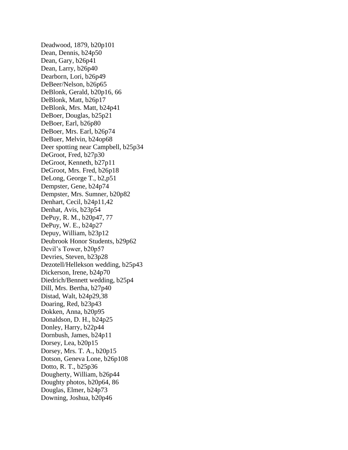Deadwood, 1879, b20p101 Dean, Dennis, b24p50 Dean, Gary, b26p41 Dean, Larry, b26p40 Dearborn, Lori, b26p49 DeBeer/Nelson, b26p65 DeBlonk, Gerald, b20p16, 66 DeBlonk, Matt, b26p17 DeBlonk, Mrs. Matt, b24p41 DeBoer, Douglas, b25p21 DeBoer, Earl, b26p80 DeBoer, Mrs. Earl, b26p74 DeBuer, Melvin, b24op68 Deer spotting near Campbell, b25p34 DeGroot, Fred, b27p30 DeGroot, Kenneth, b27p11 DeGroot, Mrs. Fred, b26p18 DeLong, George T., b2,p51 Dempster, Gene, b24p74 Dempster, Mrs. Sumner, b20p82 Denhart, Cecil, b24p11,42 Denhat, Avis, b23p54 DePuy, R. M., b20p47, 77 DePuy, W. E., b24p27 Depuy, William, b23p12 Deubrook Honor Students, b29p62 Devil's Tower, b20p57 Devries, Steven, b23p28 Dezotell/Hellekson wedding, b25p43 Dickerson, Irene, b24p70 Diedrich/Bennett wedding, b25p4 Dill, Mrs. Bertha, b27p40 Distad, Walt, b24p29,38 Doaring, Red, b23p43 Dokken, Anna, b20p95 Donaldson, D. H., b24p25 Donley, Harry, b22p44 Dornbush, James, b24p11 Dorsey, Lea, b20p15 Dorsey, Mrs. T. A., b20p15 Dotson, Geneva Lone, b26p108 Dotto, R. T., b25p36 Dougherty, William, b26p44 Doughty photos, b20p64, 86 Douglas, Elmer, b24p73 Downing, Joshua, b20p46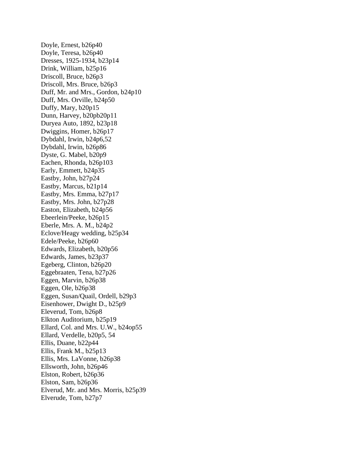Doyle, Ernest, b26p40 Doyle, Teresa, b26p40 Dresses, 1925-1934, b23p14 Drink, William, b25p16 Driscoll, Bruce, b26p3 Driscoll, Mrs. Bruce, b26p3 Duff, Mr. and Mrs., Gordon, b24p10 Duff, Mrs. Orville, b24p50 Duffy, Mary, b20p15 Dunn, Harvey, b20pb20p11 Duryea Auto, 1892, b23p18 Dwiggins, Homer, b26p17 Dybdahl, Irwin, b24p6,52 Dybdahl, Irwin, b26p86 Dyste, G. Mabel, b20p9 Eachen, Rhonda, b26p103 Early, Emmett, b24p35 Eastby, John, b27p24 Eastby, Marcus, b21p14 Eastby, Mrs. Emma, b27p17 Eastby, Mrs. John, b27p28 Easton, Elizabeth, b24p56 Ebeerlein/Peeke, b26p15 Eberle, Mrs. A. M., b24p2 Eclove/Heagy wedding, b25p34 Edele/Peeke, b26p60 Edwards, Elizabeth, b20p56 Edwards, James, b23p37 Egeberg, Clinton, b26p20 Eggebraaten, Tena, b27p26 Eggen, Marvin, b26p38 Eggen, Ole, b26p38 Eggen, Susan/Quail, Ordell, b29p3 Eisenhower, Dwight D., b25p9 Eleverud, Tom, b26p8 Elkton Auditorium, b25p19 Ellard, Col. and Mrs. U.W., b24op55 Ellard, Verdelle, b20p5, 54 Ellis, Duane, b22p44 Ellis, Frank M., b25p13 Ellis, Mrs. LaVonne, b26p38 Ellsworth, John, b26p46 Elston, Robert, b26p36 Elston, Sam, b26p36 Elverud, Mr. and Mrs. Morris, b25p39 Elverude, Tom, b27p7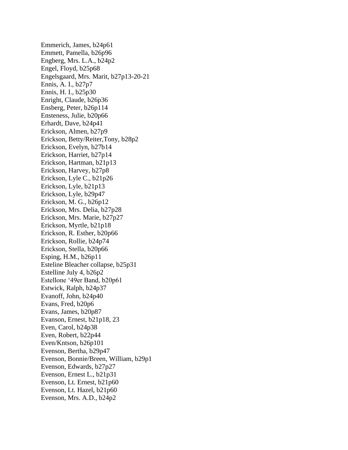Emmerich, James, b24p61 Emmett, Pamella, b26p96 Engberg, Mrs. L.A., b24p2 Engel, Floyd, b25p68 Engelsgaard, Mrs. Marit, b27p13-20-21 Ennis, A. I., b27p7 Ennis, H. I., b25p30 Enright, Claude, b26p36 Ensberg, Peter, b26p114 Ensteness, Julie, b20p66 Erhardt, Dave, b24p41 Erickson, Almen, b27p9 Erickson, Betty/Reiter,Tony, b28p2 Erickson, Evelyn, b27b14 Erickson, Harriet, b27p14 Erickson, Hartman, b21p13 Erickson, Harvey, b27p8 Erickson, Lyle C., b21p26 Erickson, Lyle, b21p13 Erickson, Lyle, b29p47 Erickson, M. G., b26p12 Erickson, Mrs. Delia, b27p28 Erickson, Mrs. Marie, b27p27 Erickson, Myrtle, b21p18 Erickson, R. Esther, b20p66 Erickson, Rollie, b24p74 Erickson, Stella, b20p66 Esping, H.M., b26p11 Esteline Bleacher collapse, b25p31 Estelline July 4, b26p2 Estellone '49er Band, b20p61 Estwick, Ralph, b24p37 Evanoff, John, b24p40 Evans, Fred, b20p6 Evans, James, b20p87 Evanson, Ernest, b21p18, 23 Even, Carol, b24p38 Even, Robert, b22p44 Even/Kntson, b26p101 Evenson, Bertha, b29p47 Evenson, Bonnie/Breen, William, b29p1 Evenson, Edwards, b27p27 Evenson, Ernest L., b21p31 Evenson, Lt. Ernest, b21p60 Evenson, Lt. Hazel, b21p60 Evenson, Mrs. A.D., b24p2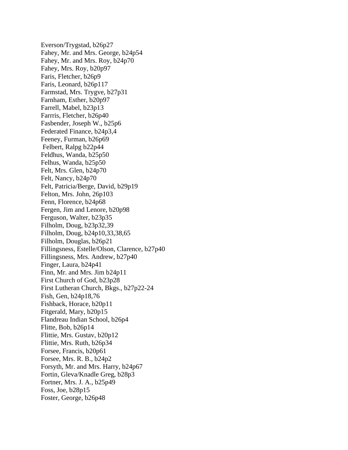Everson/Trygstad, b26p27 Fahey, Mr. and Mrs. George, b24p54 Fahey, Mr. and Mrs. Roy, b24p70 Fahey, Mrs. Roy, b20p97 Faris, Fletcher, b26p9 Faris, Leonard, b26p117 Farmstad, Mrs. Trygve, b27p31 Farnham, Esther, b20p97 Farrell, Mabel, b23p13 Farrris, Fletcher, b26p40 Fasbender, Joseph W., b25p6 Federated Finance, b24p3,4 Feeney, Furman, b26p69 Felbert, Ralpg b22p44 Feldhus, Wanda, b25p50 Felhus, Wanda, b25p50 Felt, Mrs. Glen, b24p70 Felt, Nancy, b24p70 Felt, Patricia/Berge, David, b29p19 Felton, Mrs. John, 26p103 Fenn, Florence, b24p68 Fergen, Jim and Lenore, b20p98 Ferguson, Walter, b23p35 Filholm, Doug, b23p32,39 Filholm, Doug, b24p10,33,38,65 Filholm, Douglas, b26p21 Fillingsness, Estelle/Olson, Clarence, b27p40 Fillingsness, Mrs. Andrew, b27p40 Finger, Laura, b24p41 Finn, Mr. and Mrs. Jim b24p11 First Church of God, b23p28 First Lutheran Church, Bkgs., b27p22-24 Fish, Gen, b24p18,76 Fishback, Horace, b20p11 Fitgerald, Mary, b20p15 Flandreau Indian School, b26p4 Flitte, Bob, b26p14 Flittie, Mrs. Gustav, b20p12 Flittie, Mrs. Ruth, b26p34 Forsee, Francis, b20p61 Forsee, Mrs. R. B., b24p2 Forsyth, Mr. and Mrs. Harry, b24p67 Fortin, Gleva/Knadle Greg, b28p3 Fortner, Mrs. J. A., b25p49 Foss, Joe, b28p15 Foster, George, b26p48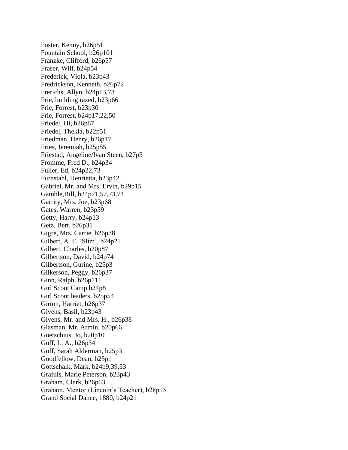Foster, Kenny, b26p51 Fountain School, b26p101 Franzke, Clifford, b26p57 Fraser, Will, b24p54 Frederick, Viola, b23p43 Fredrickson, Kenneth, b26p72 Frerichs, Allyn, b24p13,73 Frie, building razed, b23p66 Frie, Forrest, b23p30 Frie, Forrest, b24p17,22,50 Friedel, Hi, b26p87 Friedel, Thekla, b22p51 Friedman, Henry, b26p17 Fries, Jeremiah, b25p55 Friestad, Angeline/Ivan Steen, b27p5 Fromme, Fred D., b24p34 Fuller, Ed, b24p22,73 Furnstahl, Henrietta, b23p42 Gabriel, Mr. and Mrs. Ervin, b29p15 Gamble,Bill, b24p21,57,73,74 Garrity, Mrs. Joe, b23p68 Gates, Warren, b23p59 Getty, Harry, b24p13 Getz, Bert, b26p31 Gigre, Mrs. Carrie, b26p38 Gilbert, A. E. 'Slim', b24p21 Gilbert, Charles, b20p87 Gilbertson, David, b24p74 Gilbertson, Gurine, b25p3 Gilkerson, Peggy, b26p37 Ginn, Ralph, b26p111 Girl Scout Camp b24p8 Girl Scout leaders, b25p54 Girton, Harriet, b26p37 Givens, Basil, b23p43 Givens, Mr. and Mrs. H., b26p38 Glasman, Mr. Armin, b20p66 Goetschius, Jo, b20p10 Goff, L. A., b26p34 Goff, Sarah Alderman, b25p3 Goodfellow, Dean, b25p1 Gottschalk, Mark, b24p9,39,53 Grafuis, Marie Peterson, b23p43 Graham, Clark, b26p63 Graham, Mentor (Lincoln's Teacher), b28p15 Grand Social Dance, 1880, b24p21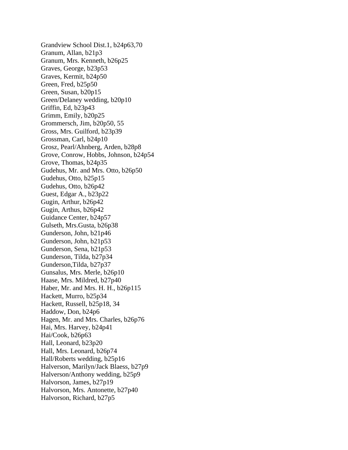Grandview School Dist.1, b24p63,70 Granum, Allan, b21p3 Granum, Mrs. Kenneth, b26p25 Graves, George, b23p53 Graves, Kermit, b24p50 Green, Fred, b25p50 Green, Susan, b20p15 Green/Delaney wedding, b20p10 Griffin, Ed, b23p43 Grimm, Emily, b20p25 Grommersch, Jim, b20p50, 55 Gross, Mrs. Guilford, b23p39 Grossman, Carl, b24p10 Grosz, Pearl/Ahnberg, Arden, b28p8 Grove, Conrow, Hobbs, Johnson, b24p54 Grove, Thomas, b24p35 Gudehus, Mr. and Mrs. Otto, b26p50 Gudehus, Otto, b25p15 Gudehus, Otto, b26p42 Guest, Edgar A., b23p22 Gugin, Arthur, b26p42 Gugin, Arthus, b26p42 Guidance Center, b24p57 Gulseth, Mrs.Gusta, b26p38 Gunderson, John, b21p46 Gunderson, John, b21p53 Gunderson, Sena, b21p53 Gunderson, Tilda, b27p34 Gunderson,Tilda, b27p37 Gunsalus, Mrs. Merle, b26p10 Haase, Mrs. Mildred, b27p40 Haber, Mr. and Mrs. H. H., b26p115 Hackett, Murro, b25p34 Hackett, Russell, b25p18, 34 Haddow, Don, b24p6 Hagen, Mr. and Mrs. Charles, b26p76 Hai, Mrs. Harvey, b24p41 Hai/Cook, b26p63 Hall, Leonard, b23p20 Hall, Mrs. Leonard, b26p74 Hall/Roberts wedding, b25p16 Halverson, Marilyn/Jack Blaess, b27p9 Halverson/Anthony wedding, b25p9 Halvorson, James, b27p19 Halvorson, Mrs. Antonette, b27p40 Halvorson, Richard, b27p5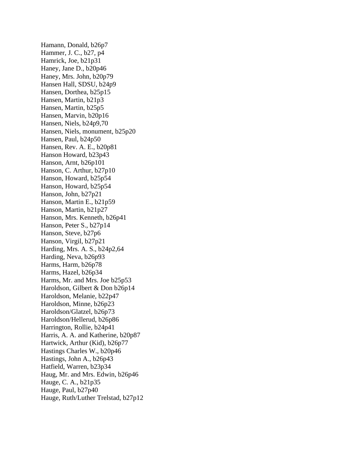Hamann, Donald, b26p7 Hammer, J. C., b27, p4 Hamrick, Joe, b21p31 Haney, Jane D., b20p46 Haney, Mrs. John, b20p79 Hansen Hall, SDSU, b24p9 Hansen, Dorthea, b25p15 Hansen, Martin, b21p3 Hansen, Martin, b25p5 Hansen, Marvin, b20p16 Hansen, Niels, b24p9,70 Hansen, Niels, monument, b25p20 Hansen, Paul, b24p50 Hansen, Rev. A. E., b20p81 Hanson Howard, b23p43 Hanson, Arnt, b26p101 Hanson, C. Arthur, b27p10 Hanson, Howard, b25p54 Hanson, Howard, b25p54 Hanson, John, b27p21 Hanson, Martin E., b21p59 Hanson, Martin, b21p27 Hanson, Mrs. Kenneth, b26p41 Hanson, Peter S., b27p14 Hanson, Steve, b27p6 Hanson, Virgil, b27p21 Harding, Mrs. A. S., b24p2,64 Harding, Neva, b26p93 Harms, Harm, b26p78 Harms, Hazel, b26p34 Harms, Mr. and Mrs. Joe b25p53 Haroldson, Gilbert & Don b26p14 Haroldson, Melanie, b22p47 Haroldson, Minne, b26p23 Haroldson/Glatzel, b26p73 Haroldson/Hellerud, b26p86 Harrington, Rollie, b24p41 Harris, A. A. and Katherine, b20p87 Hartwick, Arthur (Kid), b26p77 Hastings Charles W., b20p46 Hastings, John A., b26p43 Hatfield, Warren, b23p34 Haug, Mr. and Mrs. Edwin, b26p46 Hauge, C. A., b21p35 Hauge, Paul, b27p40 Hauge, Ruth/Luther Trelstad, b27p12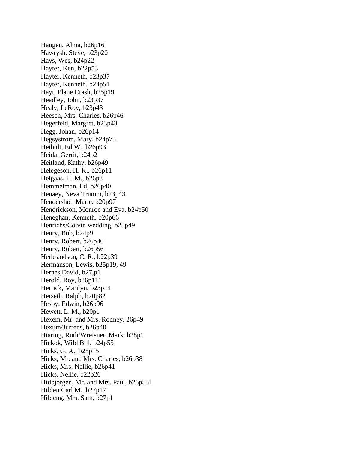Haugen, Alma, b26p16 Hawrysh, Steve, b23p20 Hays, Wes, b24p22 Hayter, Ken, b22p53 Hayter, Kenneth, b23p37 Hayter, Kenneth, b24p51 Hayti Plane Crash, b25p19 Headley, John, b23p37 Healy, LeRoy, b23p43 Heesch, Mrs. Charles, b26p46 Hegerfeld, Margret, b23p43 Hegg, Johan, b26p14 Hegsystrom, Mary, b24p75 Heibult, Ed W., b26p93 Heida, Gerrit, b24p2 Heitland, Kathy, b26p49 Helegeson, H. K., b26p11 Helgaas, H. M., b26p8 Hemmelman, Ed, b26p40 Henaey, Neva Trumm, b23p43 Hendershot, Marie, b20p97 Hendrickson, Monroe and Eva, b24p50 Heneghan, Kenneth, b20p66 Henrichs/Colvin wedding, b25p49 Henry, Bob, b24p9 Henry, Robert, b26p40 Henry, Robert, b26p56 Herbrandson, C. R., b22p39 Hermanson, Lewis, b25p19, 49 Hernes,David, b27,p1 Herold, Roy, b26p111 Herrick, Marilyn, b23p14 Herseth, Ralph, b20p82 Hesby, Edwin, b26p96 Hewett, L. M., b20p1 Hexem, Mr. and Mrs. Rodney, 26p49 Hexum/Jurrens, b26p40 Hiaring, Ruth/Wreisner, Mark, b28p1 Hickok, Wild Bill, b24p55 Hicks, G. A., b25p15 Hicks, Mr. and Mrs. Charles, b26p38 Hicks, Mrs. Nellie, b26p41 Hicks, Nellie, b22p26 Hidbjorgen, Mr. and Mrs. Paul, b26p551 Hilden Carl M., b27p17 Hildeng, Mrs. Sam, b27p1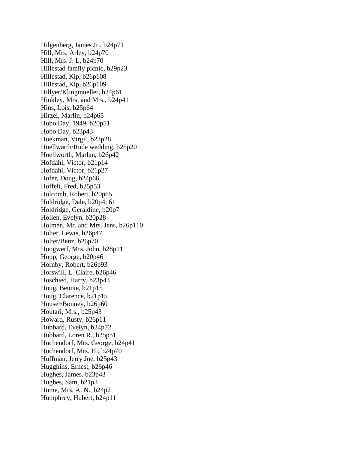Hilgenberg, James Jr., b24p71 Hill, Mrs. Arley, b24p70 Hill, Mrs. J. L, b24p70 Hillestad family picnic, b29p23 Hillestad, Kip, b26p108 Hillestad, Kip, b26p109 Hillyer/Klingmueller, b24p61 Hinkley, Mrs. and Mrs., b24p41 Hins, Lois, b25p64 Hirzel, Marlin, b24p65 Hobo Day, 1949, b20p51 Hobo Day, b23p43 Hoekman, Virgil, b23p28 Hoellwarth/Rude wedding, b25p20 Hoellworth, Marlan, b26p42 Hofdahl, Victor, b21p14 Hofdahl, Victor, b21p27 Hofer, Doug, b24p66 Hoffelt, Fred, b25p53 Holcomb, Robert, b20p65 Holdridge, Dale, b20p4, 61 Holdridge, Geraldine, b20p7 Hollen, Evelyn, b20p28 Holmen, Mr. and Mrs. Jens, b26p110 Holter, Lewis, b26p47 Holter/Benz, b26p70 Hoogwerf, Mrs. John, b28p11 Hopp, George, b20p46 Hornby, Robert, b26p93 Horswill, L. Claire, b26p46 Hoschied, Harry, b23p43 Houg, Bennie, b21p15 Houg, Clarence, b21p15 Houser/Bonney, b26p60 Houtari, Mrs., b25p43 Howard, Rusty, b26p11 Hubbard, Evelyn, b24p72 Hubbard, Loren R., b25p51 Huchendorf, Mrs. George, b24p41 Huchendorf, Mrs. H., b24p70 Huffman, Jerry Joe, b25p43 Hugghins, Ernest, b26p46 Hughes, James, b23p43 Hughes, Sam, b21p3 Hume, Mrs. A. N., b24p2 Humphrey, Hubert, b24p11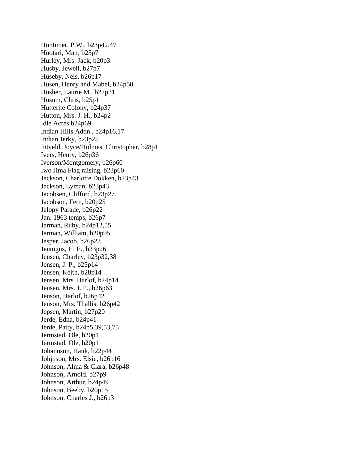Huntimer, P.W., b23p42,47 Huotari, Matt, b25p7 Hurley, Mrs. Jack, b20p3 Husby, Jewell, b27p7 Huseby, Nels, b26p17 Husen, Henry and Mabel, b24p50 Husher, Laurie M., b27p31 Husum, Chris, b25p1 Hutterite Colony, b24p37 Hutton, Mrs. J. H., b24p2 Idle Acres b24p69 Indian Hills Addn., b24p16,17 Indian Jerky, b23p25 Intveld, Joyce/Holmes, Christopher, b28p1 Ivers, Henry, b26p36 Iverson/Montgomery, b26p60 Iwo Jima Flag raising, b23p60 Jackson, Charlotte Dokken, b23p43 Jackson, Lyman, b23p43 Jacobsen, Clifford, b23p27 Jacobson, Fern, b20p25 Jalopy Parade, b26p22 Jan. 1963 temps, b26p7 Jarman, Ruby, b24p12,55 Jarman, William, b20p95 Jasper, Jacob, b26p23 Jennigns, H. E., b23p26 Jensen, Charley, b23p32,38 Jensen, J. P., b25p14 Jensen, Keith, b28p14 Jensen, Mrs. Harlof, b24p14 Jensen, Mrs. J. P., b26p63 Jenson, Harlof, b26p42 Jenson, Mrs. Thallis, b26p42 Jepsen, Martin, b27p20 Jerde, Edna, b24p41 Jerde, Patty, b24p5,39,53,75 Jermstad, Ole, b20p1 Jermstad, Ole, b20p1 Johannson, Hank, b22p44 Johjnson, Mrs. Elsie, b26p16 Johnson, Alma & Clara, b26p48 Johnson, Arnold, b27p9 Johnson, Arthur, b24p49 Johnson, Beeby, b20p15 Johnson, Charles J., b26p3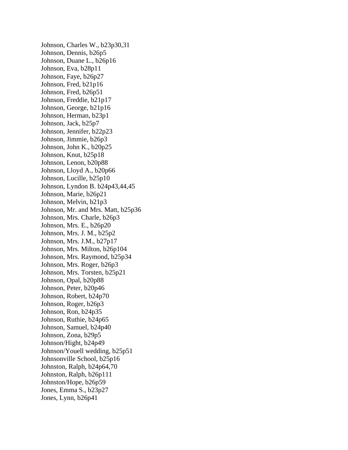Johnson, Charles W., b23p30,31 Johnson, Dennis, b26p5 Johnson, Duane L., b26p16 Johnson, Eva, b28p11 Johnson, Faye, b26p27 Johnson, Fred, b21p16 Johnson, Fred, b26p51 Johnson, Freddie, b21p17 Johnson, George, b21p16 Johnson, Herman, b23p1 Johnson, Jack, b25p7 Johnson, Jennifer, b22p23 Johnson, Jimmie, b26p3 Johnson, John K., b20p25 Johnson, Knut, b25p18 Johnson, Lenon, b20p88 Johnson, Lloyd A., b20p66 Johnson, Lucille, b25p10 Johnson, Lyndon B. b24p43,44,45 Johnson, Marie, b26p21 Johnson, Melvin, b21p3 Johnson, Mr. and Mrs. Matt, b25p36 Johnson, Mrs. Charle, b26p3 Johnson, Mrs. E., b26p20 Johnson, Mrs. J. M., b25p2 Johnson, Mrs. J.M., b27p17 Johnson, Mrs. Milton, b26p104 Johnson, Mrs. Raymond, b25p34 Johnson, Mrs. Roger, b26p3 Johnson, Mrs. Torsten, b25p21 Johnson, Opal, b20p88 Johnson, Peter, b20p46 Johnson, Robert, b24p70 Johnson, Roger, b26p3 Johnson, Ron, b24p35 Johnson, Ruthie, b24p65 Johnson, Samuel, b24p40 Johnson, Zona, b29p5 Johnson/Hight, b24p49 Johnson/Youell wedding, b25p51 Johnsonville School, b25p16 Johnston, Ralph, b24p64,70 Johnston, Ralph, b26p111 Johnston/Hope, b26p59 Jones, Emma S., b23p27 Jones, Lynn, b26p41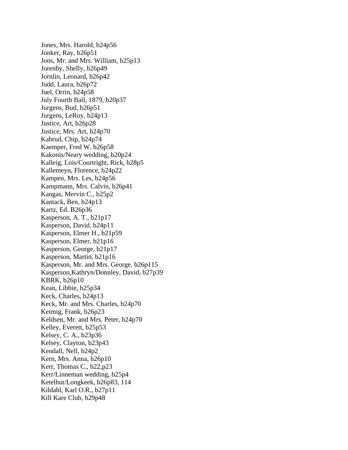Jones, Mrs. Harold, b24p56 Jonker, Ray, b26p51 Jons, Mr. and Mrs. William, b25p13 Jorenby, Shelly, b26p49 Jornlin, Leonard, b26p42 Judd, Laura, b26p72 Juel, Orrin, b24p58 July Fourth Ball, 1879, b20p37 Jurgens, Bud, b26p51 Jurgens, LeRoy, b24p13 Justice, Art, b26p28 Justice, Mrs. Art, b24p70 Kabrud, Chip, b24p74 Kaemper, Fred W. b26p58 Kakonis/Neary wedding, b20p24 Kalleig, Lois/Courtright, Rick, b28p5 Kallemeyn, Florence, b24p22 Kampen, Mrs. Les, b24p56 Kampmann, Mrs. Calvin, b26p41 Kangas, Mervin C., b25p2 Kantack, Ben, b24p13 Kartz, Ed. B26p36 Kasperson, A. T., b21p17 Kasperson, David, b24p11 Kasperson, Elmer H., b21p59 Kasperson, Elmer, b21p16 Kasperson, George, b21p17 Kasperson, Martin, b21p16 Kasperson, Mr. and Mrs. George, b26p115 Kasperson,Kathryn/Donnley, David, b27p39 KBRK, b26p10 Kean, Libbie, b25p34 Keck, Charles, b24p13 Keck, Mr. and Mrs. Charles, b24p70 Keimig, Frank, b26p23 Keldsen, Mr. and Mrs. Peter, b24p70 Kelley, Everett, b25p53 Kelsey, C. A., b23p36 Kelsey, Clayton, b23p43 Kendall, Nell, b24p2 Kern, Mrs. Anna, b26p10 Kerr, Thomas C., b22,p23 Kerr/Linneman wedding, b25p4 Ketelhut/Longkeek, b26p83, 114 Kildahl, Karl O.R., b27p11 Kill Kare Club, b29p48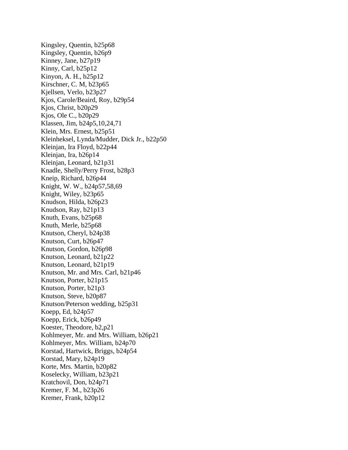Kingsley, Quentin, b25p68 Kingsley, Quentin, b26p9 Kinney, Jane, b27p19 Kinny, Carl, b25p12 Kinyon, A. H., b25p12 Kirschner, C. M, b23p65 Kjellsen, Verlo, b23p27 Kjos, Carole/Beaird, Roy, b29p54 Kjos, Christ, b20p29 Kjos, Ole C., b20p29 Klassen, Jim, b24p5,10,24,71 Klein, Mrs. Ernest, b25p51 Kleinheksel, Lynda/Mudder, Dick Jr., b22p50 Kleinjan, Ira Floyd, b22p44 Kleinjan, Ira, b26p14 Kleinjan, Leonard, b21p31 Knadle, Shelly/Perry Frost, b28p3 Kneip, Richard, b26p44 Knight, W. W., b24p57,58,69 Knight, Wiley, b23p65 Knudson, Hilda, b26p23 Knudson, Ray, b21p13 Knuth, Evans, b25p68 Knuth, Merle, b25p68 Knutson, Cheryl, b24p38 Knutson, Curt, b26p47 Knutson, Gordon, b26p98 Knutson, Leonard, b21p22 Knutson, Leonard, b21p19 Knutson, Mr. and Mrs. Carl, b21p46 Knutson, Porter, b21p15 Knutson, Porter, b21p3 Knutson, Steve, b20p87 Knutson/Peterson wedding, b25p31 Koepp, Ed, b24p57 Koepp, Erick, b26p49 Koester, Theodore, b2,p21 Kohlmeyer, Mr. and Mrs. William, b26p21 Kohlmeyer, Mrs. William, b24p70 Korstad, Hartwick, Briggs, b24p54 Korstad, Mary, b24p19 Korte, Mrs. Martin, b20p82 Koselecky, William, b23p21 Kratchovil, Don, b24p71 Kremer, F. M., b23p26 Kremer, Frank, b20p12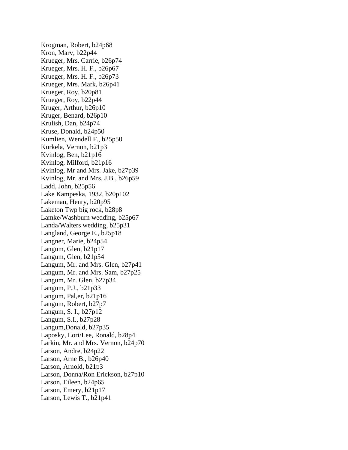Krogman, Robert, b24p68 Kron, Marv, b22p44 Krueger, Mrs. Carrie, b26p74 Krueger, Mrs. H. F., b26p67 Krueger, Mrs. H. F., b26p73 Krueger, Mrs. Mark, b26p41 Krueger, Roy, b20p81 Krueger, Roy, b22p44 Kruger, Arthur, b26p10 Kruger, Benard, b26p10 Krulish, Dan, b24p74 Kruse, Donald, b24p50 Kumlien, Wendell F., b25p50 Kurkela, Vernon, b21p3 Kvinlog, Ben, b21p16 Kvinlog, Milford, b21p16 Kvinlog, Mr and Mrs. Jake, b27p39 Kvinlog, Mr. and Mrs. J.B., b26p59 Ladd, John, b25p56 Lake Kampeska, 1932, b20p102 Lakeman, Henry, b20p95 Laketon Twp big rock, b28p8 Lamke/Washburn wedding, b25p67 Landa/Walters wedding, b25p31 Langland, George E., b25p18 Langner, Marie, b24p54 Langum, Glen, b21p17 Langum, Glen, b21p54 Langum, Mr. and Mrs. Glen, b27p41 Langum, Mr. and Mrs. Sam, b27p25 Langum, Mr. Glen, b27p34 Langum, P.J., b21p33 Langum, Pal,er, b21p16 Langum, Robert, b27p7 Langum, S. I., b27p12 Langum, S.I., b27p28 Langum,Donald, b27p35 Laposky, Lori/Lee, Ronald, b28p4 Larkin, Mr. and Mrs. Vernon, b24p70 Larson, Andre, b24p22 Larson, Arne B., b26p40 Larson, Arnold, b21p3 Larson, Donna/Ron Erickson, b27p10 Larson, Eileen, b24p65 Larson, Emery, b21p17 Larson, Lewis T., b21p41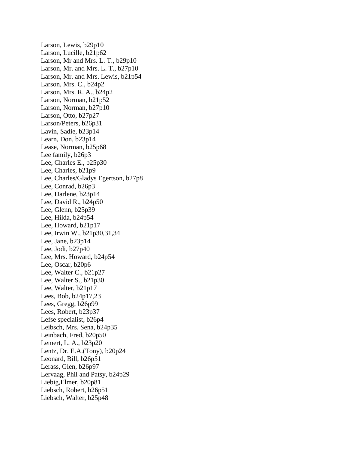Larson, Lewis, b29p10 Larson, Lucille, b21p62 Larson, Mr and Mrs. L. T., b29p10 Larson, Mr. and Mrs. L. T., b27p10 Larson, Mr. and Mrs. Lewis, b21p54 Larson, Mrs. C., b24p2 Larson, Mrs. R. A., b24p2 Larson, Norman, b21p52 Larson, Norman, b27p10 Larson, Otto, b27p27 Larson/Peters, b26p31 Lavin, Sadie, b23p14 Learn, Don, b23p14 Lease, Norman, b25p68 Lee family, b26p3 Lee, Charles E., b25p30 Lee, Charles, b21p9 Lee, Charles/Gladys Egertson, b27p8 Lee, Conrad, b26p3 Lee, Darlene, b23p14 Lee, David R., b24p50 Lee, Glenn, b25p39 Lee, Hilda, b24p54 Lee, Howard, b21p17 Lee, Irwin W., b21p30,31,34 Lee, Jane, b23p14 Lee, Jodi, b27p40 Lee, Mrs. Howard, b24p54 Lee, Oscar, b20p6 Lee, Walter C., b21p27 Lee, Walter S., b21p30 Lee, Walter, b21p17 Lees, Bob, b24p17,23 Lees, Gregg, b26p99 Lees, Robert, b23p37 Lefse specialist, b26p4 Leibsch, Mrs. Sena, b24p35 Leinbach, Fred, b20p50 Lemert, L. A., b23p20 Lentz, Dr. E.A.(Tony), b20p24 Leonard, Bill, b26p51 Lerass, Glen, b26p97 Lervaag, Phil and Patsy, b24p29 Liebig,Elmer, b20p81 Liebsch, Robert, b26p51 Liebsch, Walter, b25p48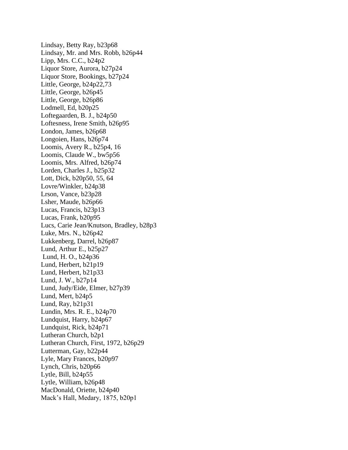Lindsay, Betty Ray, b23p68 Lindsay, Mr. and Mrs. Robb, b26p44 Lipp, Mrs. C.C., b24p2 Liquor Store, Aurora, b27p24 Liquor Store, Bookings, b27p24 Little, George, b24p22,73 Little, George, b26p45 Little, George, b26p86 Lodmell, Ed, b20p25 Loftegaarden, B. J., b24p50 Loftesness, Irene Smith, b26p95 London, James, b26p68 Longoien, Hans, b26p74 Loomis, Avery R., b25p4, 16 Loomis, Claude W., bw5p56 Loomis, Mrs. Alfred, b26p74 Lorden, Charles J., b25p32 Lott, Dick, b20p50, 55, 64 Lovre/Winkler, b24p38 Lrson, Vance, b23p28 Lsher, Maude, b26p66 Lucas, Francis, b23p13 Lucas, Frank, b20p95 Lucs, Carie Jean/Knutson, Bradley, b28p3 Luke, Mrs. N., b26p42 Lukkenberg, Darrel, b26p87 Lund, Arthur E., b25p27 Lund, H. O., b24p36 Lund, Herbert, b21p19 Lund, Herbert, b21p33 Lund, J. W., b27p14 Lund, Judy/Eide, Elmer, b27p39 Lund, Mert, b24p5 Lund, Ray, b21p31 Lundin, Mrs. R. E., b24p70 Lundquist, Harry, b24p67 Lundquist, Rick, b24p71 Lutheran Church, b2p1 Lutheran Church, First, 1972, b26p29 Lutterman, Gay, b22p44 Lyle, Mary Frances, b20p97 Lynch, Chris, b20p66 Lytle, Bill, b24p55 Lytle, William, b26p48 MacDonald, Oriette, b24p40 Mack's Hall, Medary, 1875, b20p1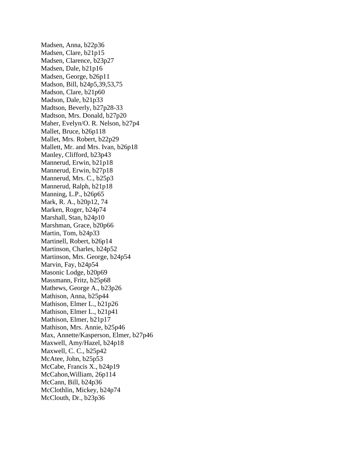Madsen, Anna, b22p36 Madsen, Clare, b21p15 Madsen, Clarence, b23p27 Madsen, Dale, b21p16 Madsen, George, b26p11 Madson, Bill, b24p5,39,53,75 Madson, Clare, b21p60 Madson, Dale, b21p33 Madtson, Beverly, b27p28-33 Madtson, Mrs. Donald, b27p20 Maher, Evelyn/O. R. Nelson, b27p4 Mallet, Bruce, b26p118 Mallet, Mrs. Robert, b22p29 Mallett, Mr. and Mrs. Ivan, b26p18 Manley, Clifford, b23p43 Mannerud, Erwin, b21p18 Mannerud, Erwin, b27p18 Mannerud, Mrs. C., b25p3 Mannerud, Ralph, b21p18 Manning, L.P., b26p65 Mark, R. A., b20p12, 74 Marken, Roger, b24p74 Marshall, Stan, b24p10 Marshman, Grace, b20p66 Martin, Tom, b24p33 Martinell, Robert, b26p14 Martinson, Charles, b24p52 Martinson, Mrs. George, b24p54 Marvin, Fay, b24p54 Masonic Lodge, b20p69 Massmann, Fritz, b25p68 Mathews, George A., b23p26 Mathison, Anna, b25p44 Mathison, Elmer L., b21p26 Mathison, Elmer L., b21p41 Mathison, Elmer, b21p17 Mathison, Mrs. Annie, b25p46 Max, Annette/Kasperson, Elmer, b27p46 Maxwell, Amy/Hazel, b24p18 Maxwell, C. C., b25p42 McAtee, John, b25p53 McCabe, Francis X., b24p19 McCahon,William, 26p114 McCann, Bill, b24p36 McClothlin, Mickey, b24p74 McClouth, Dr., b23p36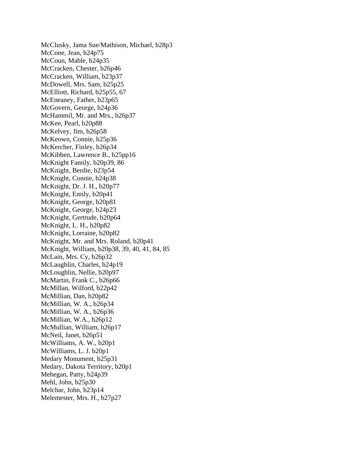McClusky, Jama Sue/Mathison, Michael, b28p3 McCone, Jean, b24p75 McCoun, Mable, b24p35 McCracken, Chester, b26p46 McCracken, William, b23p37 McDowell, Mrs. Sam, b25p25 McElliott, Richard, b25p55, 67 McEneaney, Father, b23p65 McGovern, George, b24p36 McHammil, Mr. and Mrs., b26p37 McKee, Pearl, b20p88 McKelvey, Jim, b26p58 McKeown, Connie, b25p36 McKercher, Finley, b26p34 McKibben, Lawrence B., b25pp16 McKnight Family, b20p39, 86 McKnight, Berdie, b23p54 McKnight, Connie, b24p38 McKnight, Dr. J. H., b20p77 McKnight, Emily, b20p41 McKnight, George, b20p81 McKnight, George, b24p23 McKnight, Gertrude, b20p64 McKnight, L. H., b20p82 McKnight, Lorraine, b20p82 McKnight, Mr. and Mrs. Roland, b20p41 McKnight, William, b20p38, 39, 40, 41, 84, 85 McLain, Mrs. Cy, b26p32 McLaughlin, Charles, b24p19 McLoughlin, Nellie, b20p97 McMartin, Frank C., b26p66 McMillan, Wilford, b22p42 McMillian, Dan, b20p82 McMillian, W. A., b26p34 McMillian, W. A., b26p36 McMillian, W.A., b26p12 McMullian, William, b26p17 McNeil, Janet, b26p51 McWilliams, A. W., b20p1 McWilliams, L. J. b20p1 Medary Monument, b25p31 Medary, Dakota Territory, b20p1 Mehegan, Patty, b24p39 Mehl, John, b25p30 Melchar, John, b23p14 Melemester, Mrs. H., b27p27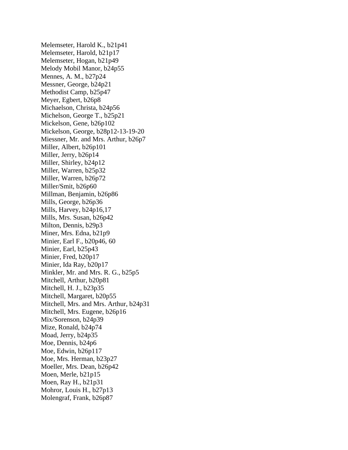Melemseter, Harold K., b21p41 Melemseter, Harold, b21p17 Melemseter, Hogan, b21p49 Melody Mobil Manor, b24p55 Mennes, A. M., b27p24 Messner, George, b24p21 Methodist Camp, b25p47 Meyer, Egbert, b26p8 Michaelson, Christa, b24p56 Michelson, George T., b25p21 Mickelson, Gene, b26p102 Mickelson, George, b28p12-13-19-20 Miessner, Mr. and Mrs. Arthur, b26p7 Miller, Albert, b26p101 Miller, Jerry, b26p14 Miller, Shirley, b24p12 Miller, Warren, b25p32 Miller, Warren, b26p72 Miller/Smit, b26p60 Millman, Benjamin, b26p86 Mills, George, b26p36 Mills, Harvey, b24p16,17 Mills, Mrs. Susan, b26p42 Milton, Dennis, b29p3 Miner, Mrs. Edna, b21p9 Minier, Earl F., b20p46, 60 Minier, Earl, b25p43 Minier, Fred, b20p17 Minier, Ida Ray, b20p17 Minkler, Mr. and Mrs. R. G., b25p5 Mitchell, Arthur, b20p81 Mitchell, H. J., b23p35 Mitchell, Margaret, b20p55 Mitchell, Mrs. and Mrs. Arthur, b24p31 Mitchell, Mrs. Eugene, b26p16 Mix/Sorenson, b24p39 Mize, Ronald, b24p74 Moad, Jerry, b24p35 Moe, Dennis, b24p6 Moe, Edwin, b26p117 Moe, Mrs. Herman, b23p27 Moeller, Mrs. Dean, b26p42 Moen, Merle, b21p15 Moen, Ray H., b21p31 Mohror, Louis H., b27p13 Molengraf, Frank, b26p87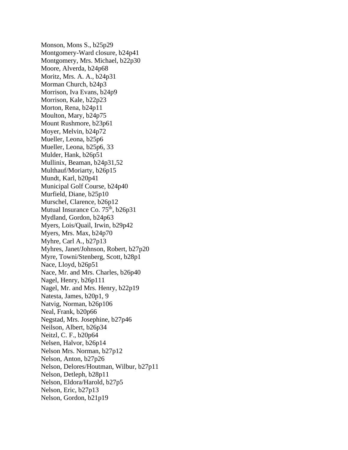Monson, Mons S., b25p29 Montgomery-Ward closure, b24p41 Montgomery, Mrs. Michael, b22p30 Moore, Alverda, b24p68 Moritz, Mrs. A. A., b24p31 Morman Church, b24p3 Morrison, Iva Evans, b24p9 Morrison, Kale, b22p23 Morton, Rena, b24p11 Moulton, Mary, b24p75 Mount Rushmore, b23p61 Moyer, Melvin, b24p72 Mueller, Leona, b25p6 Mueller, Leona, b25p6, 33 Mulder, Hank, b26p51 Mullinix, Beaman, b24p31,52 Multhauf/Moriarty, b26p15 Mundt, Karl, b20p41 Municipal Golf Course, b24p40 Murfield, Diane, b25p10 Murschel, Clarence, b26p12 Mutual Insurance Co. 75<sup>th</sup>, b26p31 Mydland, Gordon, b24p63 Myers, Lois/Quail, Irwin, b29p42 Myers, Mrs. Max, b24p70 Myhre, Carl A., b27p13 Myhres, Janet/Johnson, Robert, b27p20 Myre, Towni/Stenberg, Scott, b28p1 Nace, Lloyd, b26p51 Nace, Mr. and Mrs. Charles, b26p40 Nagel, Henry, b26p111 Nagel, Mr. and Mrs. Henry, b22p19 Natesta, James, b20p1, 9 Natvig, Norman, b26p106 Neal, Frank, b20p66 Negstad, Mrs. Josephine, b27p46 Neilson, Albert, b26p34 Neitzl, C. F., b20p64 Nelsen, Halvor, b26p14 Nelson Mrs. Norman, b27p12 Nelson, Anton, b27p26 Nelson, Delores/Houtman, Wilbur, b27p11 Nelson, Detleph, b28p11 Nelson, Eldora/Harold, b27p5 Nelson, Eric, b27p13 Nelson, Gordon, b21p19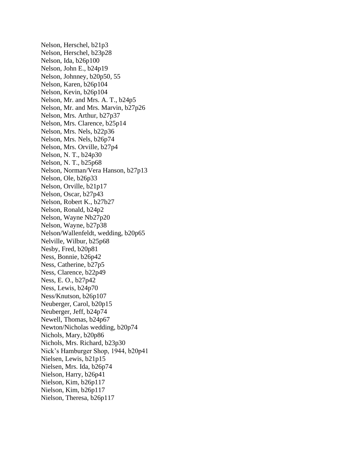Nelson, Herschel, b21p3 Nelson, Herschel, b23p28 Nelson, Ida, b26p100 Nelson, John E., b24p19 Nelson, Johnney, b20p50, 55 Nelson, Karen, b26p104 Nelson, Kevin, b26p104 Nelson, Mr. and Mrs. A. T., b24p5 Nelson, Mr. and Mrs. Marvin, b27p26 Nelson, Mrs. Arthur, b27p37 Nelson, Mrs. Clarence, b25p14 Nelson, Mrs. Nels, b22p36 Nelson, Mrs. Nels, b26p74 Nelson, Mrs. Orville, b27p4 Nelson, N. T., b24p30 Nelson, N. T., b25p68 Nelson, Norman/Vera Hanson, b27p13 Nelson, Ole, b26p33 Nelson, Orville, b21p17 Nelson, Oscar, b27p43 Nelson, Robert K., b27b27 Nelson, Ronald, b24p2 Nelson, Wayne Nb27p20 Nelson, Wayne, b27p38 Nelson/Wallenfeldt, wedding, b20p65 Nelville, Wilbur, b25p68 Nesby, Fred, b20p81 Ness, Bonnie, b26p42 Ness, Catherine, b27p5 Ness, Clarence, b22p49 Ness, E. O., b27p42 Ness, Lewis, b24p70 Ness/Knutson, b26p107 Neuberger, Carol, b20p15 Neuberger, Jeff, b24p74 Newell, Thomas, b24p67 Newton/Nicholas wedding, b20p74 Nichols, Mary, b20p86 Nichols, Mrs. Richard, b23p30 Nick's Hamburger Shop, 1944, b20p41 Nielsen, Lewis, b21p15 Nielsen, Mrs. Ida, b26p74 Nielson, Harry, b26p41 Nielson, Kim, b26p117 Nielson, Kim, b26p117 Nielson, Theresa, b26p117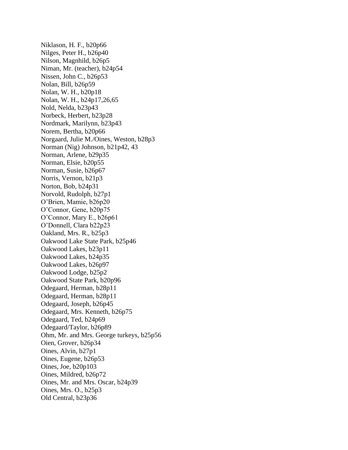Niklason, H. F., b20p66 Nilges, Peter H., b26p40 Nilson, Magnhild, b26p5 Niman, Mr. (teacher), b24p54 Nissen, John C., b26p53 Nolan, Bill, b26p59 Nolan, W. H., b20p18 Nolan, W. H., b24p17,26,65 Nold, Nelda, b23p43 Norbeck, Herbert, b23p28 Nordmark, Marilynn, b23p43 Norem, Bertha, b20p66 Norgaard, Julie M./Oines, Weston, b28p3 Norman (Nig) Johnson, b21p42, 43 Norman, Arlene, b29p35 Norman, Elsie, b20p55 Norman, Susie, b26p67 Norris, Vernon, b21p3 Norton, Bob, b24p31 Norvold, Rudolph, b27p1 O'Brien, Mamie, b26p20 O'Connor, Gene, b20p75 O'Connor, Mary E., b26p61 O'Donnell, Clara b22p23 Oakland, Mrs. R., b25p3 Oakwood Lake State Park, b25p46 Oakwood Lakes, b23p11 Oakwood Lakes, b24p35 Oakwood Lakes, b26p97 Oakwood Lodge, b25p2 Oakwood State Park, b20p96 Odegaard, Herman, b28p11 Odegaard, Herman, b28p11 Odegaard, Joseph, b26p45 Odegaard, Mrs. Kenneth, b26p75 Odegaard, Ted, b24p69 Odegaard/Taylor, b26p89 Ohm, Mr. and Mrs. George turkeys, b25p56 Oien, Grover, b26p34 Oines, Alvin, b27p1 Oines, Eugene, b26p53 Oines, Joe, b20p103 Oines, Mildred, b26p72 Oines, Mr. and Mrs. Oscar, b24p39 Oines, Mrs. O., b25p3 Old Central, b23p36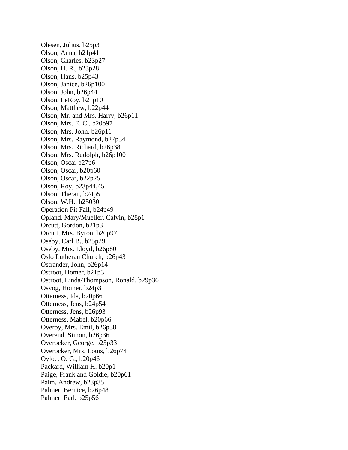Olesen, Julius, b25p3 Olson, Anna, b21p41 Olson, Charles, b23p27 Olson, H. R., b23p28 Olson, Hans, b25p43 Olson, Janice, b26p100 Olson, John, b26p44 Olson, LeRoy, b21p10 Olson, Matthew, b22p44 Olson, Mr. and Mrs. Harry, b26p11 Olson, Mrs. E. C., b20p97 Olson, Mrs. John, b26p11 Olson, Mrs. Raymond, b27p34 Olson, Mrs. Richard, b26p38 Olson, Mrs. Rudolph, b26p100 Olson, Oscar b27p6 Olson, Oscar, b20p60 Olson, Oscar, b22p25 Olson, Roy, b23p44,45 Olson, Theran, b24p5 Olson, W.H., b25030 Operation Pit Fall, b24p49 Opland, Mary/Mueller, Calvin, b28p1 Orcutt, Gordon, b21p3 Orcutt, Mrs. Byron, b20p97 Oseby, Carl B., b25p29 Oseby, Mrs. Lloyd, b26p80 Oslo Lutheran Church, b26p43 Ostrander, John, b26p14 Ostroot, Homer, b21p3 Ostroot, Linda/Thompson, Ronald, b29p36 Osvog, Homer, b24p31 Otterness, Ida, b20p66 Otterness, Jens, b24p54 Otterness, Jens, b26p93 Otterness, Mabel, b20p66 Overby, Mrs. Emil, b26p38 Overend, Simon, b26p36 Overocker, George, b25p33 Overocker, Mrs. Louis, b26p74 Oyloe, O. G., b20p46 Packard, William H. b20p1 Paige, Frank and Goldie, b20p61 Palm, Andrew, b23p35 Palmer, Bernice, b26p48 Palmer, Earl, b25p56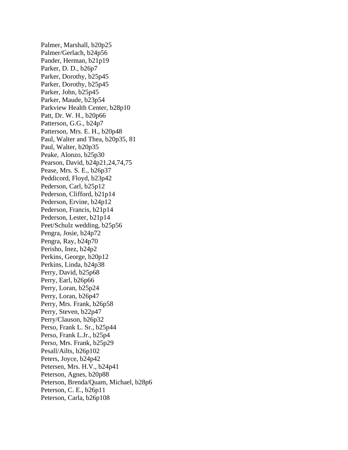Palmer, Marshall, b20p25 Palmer/Gerlach, b24p56 Pander, Herman, b21p19 Parker, D. D., b26p7 Parker, Dorothy, b25p45 Parker, Dorothy, b25p45 Parker, John, b25p45 Parker, Maude, b23p54 Parkview Health Center, b28p10 Patt, Dr. W. H., b20p66 Patterson, G.G., b24p7 Patterson, Mrs. E. H., b20p48 Paul, Walter and Thea, b20p35, 81 Paul, Walter, b20p35 Peake, Alonzo, b25p30 Pearson, David, b24p21,24,74,75 Pease, Mrs. S. E., b26p37 Peddicord, Floyd, b23p42 Pederson, Carl, b25p12 Pederson, Clifford, b21p14 Pederson, Ervine, b24p12 Pederson, Francis, b21p14 Pederson, Lester, b21p14 Peet/Schulz wedding, b25p56 Pengra, Josie, b24p72 Pengra, Ray, b24p70 Perisho, Inez, b24p2 Perkins, George, b20p12 Perkins, Linda, b24p38 Perry, David, b25p68 Perry, Earl, b26p66 Perry, Loran, b25p24 Perry, Loran, b26p47 Perry, Mrs. Frank, b26p58 Perry, Steven, b22p47 Perry/Clauson, b26p32 Perso, Frank L. Sr., b25p44 Perso, Frank L.Jr., b25p4 Perso, Mrs. Frank, b25p29 Pesall/Ailts, b26p102 Peters, Joyce, b24p42 Petersen, Mrs. H.V., b24p41 Peterson, Agnes, b20p88 Peterson, Brenda/Quam, Michael, b28p6 Peterson, C. E., b26p11 Peterson, Carla, b26p108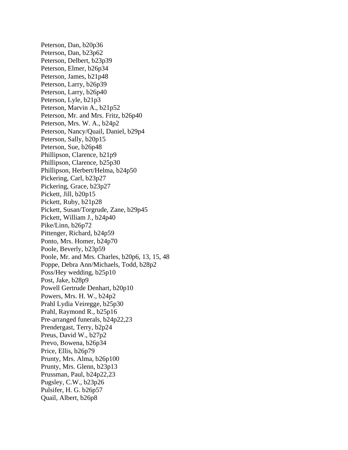Peterson, Dan, b20p36 Peterson, Dan, b23p62 Peterson, Delbert, b23p39 Peterson, Elmer, b26p34 Peterson, James, b21p48 Peterson, Larry, b26p39 Peterson, Larry, b26p40 Peterson, Lyle, b21p3 Peterson, Marvin A., b21p52 Peterson, Mr. and Mrs. Fritz, b26p40 Peterson, Mrs. W. A., b24p2 Peterson, Nancy/Quail, Daniel, b29p4 Peterson, Sally, b20p15 Peterson, Sue, b26p48 Phillipson, Clarence, b21p9 Phillipson, Clarence, b25p30 Phillipson, Herbert/Helma, b24p50 Pickering, Carl, b23p27 Pickering, Grace, b23p27 Pickett, Jill, b20p15 Pickett, Ruby, b21p28 Pickett, Susan/Torgrude, Zane, b29p45 Pickett, William J., b24p40 Pike/Linn, b26p72 Pittenger, Richard, b24p59 Ponto, Mrs. Homer, b24p70 Poole, Beverly, b23p59 Poole, Mr. and Mrs. Charles, b20p6, 13, 15, 48 Poppe, Debra Ann/Michaels, Todd, b28p2 Poss/Hey wedding, b25p10 Post, Jake, b28p9 Powell Gertrude Denhart, b20p10 Powers, Mrs. H. W., b24p2 Prahl Lydia Veiregge, b25p30 Prahl, Raymond R., b25p16 Pre-arranged funerals, b24p22,23 Prendergast, Terry, b2p24 Preus, David W., b27p2 Prevo, Bowena, b26p34 Price, Ellis, b26p79 Prunty, Mrs. Alma, b26p100 Prunty, Mrs. Glenn, b23p13 Prussman, Paul, b24p22,23 Pugsley, C.W., b23p26 Pulsifer, H. G. b26p57 Quail, Albert, b26p8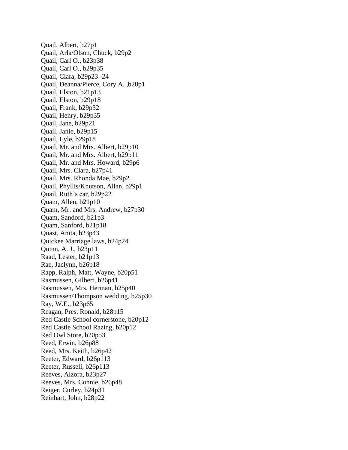Quail, Albert, b27p1 Quail, Arla/Olson, Chuck, b29p2 Quail, Carl O., b23p38 Quail, Carl O., b29p35 Quail, Clara, b29p23 -24 Quail, Deanna/Pierce, Cory A. ,b28p1 Quail, Elston, b21p13 Quail, Elston, b29p18 Quail, Frank, b29p32 Quail, Henry, b29p35 Quail, Jane, b29p21 Quail, Janie, b29p15 Quail, Lyle, b29p18 Quail, Mr. and Mrs. Albert, b29p10 Quail, Mr. and Mrs. Albert, b29p11 Quail, Mr. and Mrs. Howard, b29p6 Quail, Mrs. Clara, b27p41 Quail, Mrs. Rhonda Mae, b29p2 Quail, Phyllis/Knutson, Allan, b29p1 Quail, Ruth's car, b29p22 Quam, Allen, b21p10 Quam, Mr. and Mrs. Andrew, b27p30 Quam, Sandord, b21p3 Quam, Sanford, b21p18 Quast, Anita, b23p43 Quickee Marriage laws, b24p24 Quinn, A. J., b23p11 Raad, Lester, b21p13 Rae, Jaclynn, b26p18 Rapp, Ralph, Matt, Wayne, b20p51 Rasmussen, Gilbert, b26p41 Rasmussen, Mrs. Herman, b25p40 Rasmussen/Thompson wedding, b25p30 Ray, W.E., b23p65 Reagan, Pres. Ronald, b28p15 Red Castle School cornerstone, b20p12 Red Castle School Razing, b20p12 Red Owl Store, b20p53 Reed, Erwin, b26p88 Reed, Mrs. Keith, b26p42 Reeter, Edward, b26p113 Reeter, Russell, b26p113 Reeves, Alzora, b23p27 Reeves, Mrs. Connie, b26p48 Reiger, Curley, b24p31 Reinhart, John, b28p22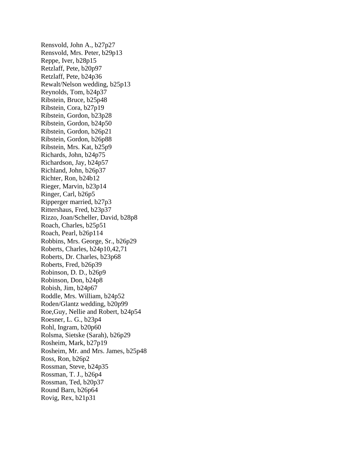Rensvold, John A., b27p27 Rensvold, Mrs. Peter, b29p13 Reppe, Iver, b28p15 Retzlaff, Pete, b20p97 Retzlaff, Pete, b24p36 Rewalt/Nelson wedding, b25p13 Reynolds, Tom, b24p37 Ribstein, Bruce, b25p48 Ribstein, Cora, b27p19 Ribstein, Gordon, b23p28 Ribstein, Gordon, b24p50 Ribstein, Gordon, b26p21 Ribstein, Gordon, b26p88 Ribstein, Mrs. Kat, b25p9 Richards, John, b24p75 Richardson, Jay, b24p57 Richland, John, b26p37 Richter, Ron, b24b12 Rieger, Marvin, b23p14 Ringer, Carl, b26p5 Ripperger married, b27p3 Rittershaus, Fred, b23p37 Rizzo, Joan/Scheller, David, b28p8 Roach, Charles, b25p51 Roach, Pearl, b26p114 Robbins, Mrs. George, Sr., b26p29 Roberts, Charles, b24p10,42,71 Roberts, Dr. Charles, b23p68 Roberts, Fred, b26p39 Robinson, D. D., b26p9 Robinson, Don, b24p8 Robish, Jim, b24p67 Roddle, Mrs. William, b24p52 Roden/Glantz wedding, b20p99 Roe,Guy, Nellie and Robert, b24p54 Roesner, L. G., b23p4 Rohl, Ingram, b20p60 Rolsma, Sietske (Sarah), b26p29 Rosheim, Mark, b27p19 Rosheim, Mr. and Mrs. James, b25p48 Ross, Ron, b26p2 Rossman, Steve, b24p35 Rossman, T. J., b26p4 Rossman, Ted, b20p37 Round Barn, b26p64 Rovig, Rex, b21p31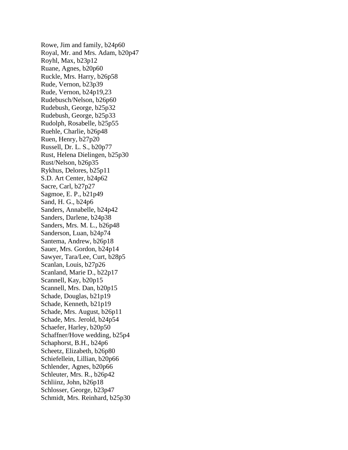Rowe, Jim and family, b24p60 Royal, Mr. and Mrs. Adam, b20p47 Royhl, Max, b23p12 Ruane, Agnes, b20p60 Ruckle, Mrs. Harry, b26p58 Rude, Vernon, b23p39 Rude, Vernon, b24p19,23 Rudebusch/Nelson, b26p60 Rudebush, George, b25p32 Rudebush, George, b25p33 Rudolph, Rosabelle, b25p55 Ruehle, Charlie, b26p48 Ruen, Henry, b27p20 Russell, Dr. L. S., b20p77 Rust, Helena Dielingen, b25p30 Rust/Nelson, b26p35 Rykhus, Delores, b25p11 S.D. Art Center, b24p62 Sacre, Carl, b27p27 Sagmoe, E. P., b21p49 Sand, H. G., b24p6 Sanders, Annabelle, b24p42 Sanders, Darlene, b24p38 Sanders, Mrs. M. L., b26p48 Sanderson, Luan, b24p74 Santema, Andrew, b26p18 Sauer, Mrs. Gordon, b24p14 Sawyer, Tara/Lee, Curt, b28p5 Scanlan, Louis, b27p26 Scanland, Marie D., b22p17 Scannell, Kay, b20p15 Scannell, Mrs. Dan, b20p15 Schade, Douglas, b21p19 Schade, Kenneth, b21p19 Schade, Mrs. August, b26p11 Schade, Mrs. Jerold, b24p54 Schaefer, Harley, b20p50 Schaffner/Hove wedding, b25p4 Schaphorst, B.H., b24p6 Scheetz, Elizabeth, b26p80 Schiefellein, Lillian, b20p66 Schlender, Agnes, b20p66 Schleuter, Mrs. R., b26p42 Schliinz, John, b26p18 Schlosser, George, b23p47 Schmidt, Mrs. Reinhard, b25p30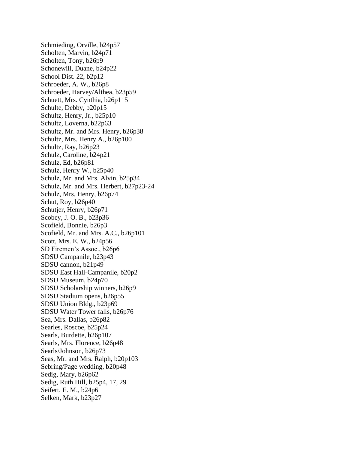Schmieding, Orville, b24p57 Scholten, Marvin, b24p71 Scholten, Tony, b26p9 Schonewill, Duane, b24p22 School Dist. 22, b2p12 Schroeder, A. W., b26p8 Schroeder, Harvey/Althea, b23p59 Schuett, Mrs. Cynthia, b26p115 Schulte, Debby, b20p15 Schultz, Henry, Jr., b25p10 Schultz, Loverna, b22p63 Schultz, Mr. and Mrs. Henry, b26p38 Schultz, Mrs. Henry A., b26p100 Schultz, Ray, b26p23 Schulz, Caroline, b24p21 Schulz, Ed, b26p81 Schulz, Henry W., b25p40 Schulz, Mr. and Mrs. Alvin, b25p34 Schulz, Mr. and Mrs. Herbert, b27p23-24 Schulz, Mrs. Henry, b26p74 Schut, Roy, b26p40 Schutjer, Henry, b26p71 Scobey, J. O. B., b23p36 Scofield, Bonnie, b26p3 Scofield, Mr. and Mrs. A.C., b26p101 Scott, Mrs. E. W., b24p56 SD Firemen's Assoc., b26p6 SDSU Campanile, b23p43 SDSU cannon, b21p49 SDSU East Hall-Campanile, b20p2 SDSU Museum, b24p70 SDSU Scholarship winners, b26p9 SDSU Stadium opens, b26p55 SDSU Union Bldg., b23p69 SDSU Water Tower falls, b26p76 Sea, Mrs. Dallas, b26p82 Searles, Roscoe, b25p24 Searls, Burdette, b26p107 Searls, Mrs. Florence, b26p48 Searls/Johnson, b26p73 Seas, Mr. and Mrs. Ralph, b20p103 Sebring/Page wedding, b20p48 Sedig, Mary, b26p62 Sedig, Ruth Hill, b25p4, 17, 29 Seifert, E. M., b24p6 Selken, Mark, b23p27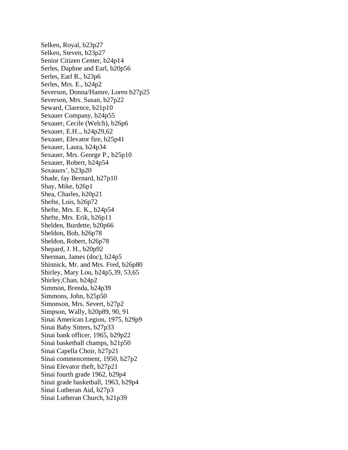Selken, Royal, b23p27 Selken, Steven, b23p27 Senior Citizen Center, b24p14 Serles, Daphne and Earl, b20p56 Serles, Earl R., b23p6 Serles, Mrs. E., b24p2 Severson, Donna/Hamre, Loren b27p25 Severson, Mrs. Susan, b27p22 Seward, Clarence, b21p10 Sexauer Company, b24p55 Sexauer, Cecile (Welch), b26p6 Sexauer, E.H.., b24p29,62 Sexauer, Elevator fire, b25p41 Sexauer, Laura, b24p34 Sexauer, Mrs. George P., b25p10 Sexauer, Robert, b24p54 Sexauers', b23p20 Shade, fay Bernard, b27p10 Shay, Mike, b26p1 Shea, Charles, b20p21 Shefte, Lois, b26p72 Shefte, Mrs. E. K., b24p54 Shefte, Mrs. Erik, b26p11 Shelden, Burdette, b20p66 Sheldon, Bob, b26p78 Sheldon, Robert, b26p78 Shepard, J. H., b20p92 Sherman, James (doc), b24p5 Shinnick, Mr. and Mrs. Fred, b26p80 Shirley, Mary Lou, b24p5,39, 53,65 Shirley,Chan, b24p2 Simmon, Brenda, b24p39 Simmons, John, b25p50 Simonson, Mrs. Severt, b27p2 Simpson, Wally, b20p89, 90, 91 Sinai American Legion, 1975, b29p9 Sinai Baby Sitters, b27p33 Sinai bank officer, 1965, b29p22 Sinai basketball champs, b21p50 Sinai Capella Choir, b27p21 Sinai commencement, 1950, b27p2 Sinai Elevator theft, b27p21 Sinai fourth grade 1962, b29p4 Sinai grade basketball, 1963, b29p4 Sinai Lutheran Aid, b27p3 Sinai Lutheran Church, b21p39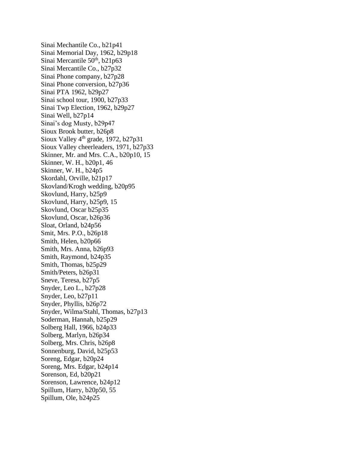Sinai Mechantile Co., b21p41 Sinai Memorial Day, 1962, b29p18 Sinai Mercantile  $50<sup>th</sup>$ , b21p63 Sinai Mercantile Co., b27p32 Sinai Phone company, b27p28 Sinai Phone conversion, b27p36 Sinai PTA 1962, b29p27 Sinai school tour, 1900, b27p33 Sinai Twp Election, 1962, b29p27 Sinai Well, b27p14 Sinai's dog Musty, b29p47 Sioux Brook butter, b26p8 Sioux Valley  $4<sup>th</sup>$  grade, 1972, b27p31 Sioux Valley cheerleaders, 1971, b27p33 Skinner, Mr. and Mrs. C.A., b20p10, 15 Skinner, W. H., b20p1, 46 Skinner, W. H., b24p5 Skordahl, Orville, b21p17 Skovland/Krogh wedding, b20p95 Skovlund, Harry, b25p9 Skovlund, Harry, b25p9, 15 Skovlund, Oscar b25p35 Skovlund, Oscar, b26p36 Sloat, Orland, b24p56 Smit, Mrs. P.O., b26p18 Smith, Helen, b20p66 Smith, Mrs. Anna, b26p93 Smith, Raymond, b24p35 Smith, Thomas, b25p29 Smith/Peters, b26p31 Sneve, Teresa, b27p5 Snyder, Leo L., b27p28 Snyder, Leo, b27p11 Snyder, Phyllis, b26p72 Snyder, Wilma/Stahl, Thomas, b27p13 Soderman, Hannah, b25p29 Solberg Hall, 1966, b24p33 Solberg, Marlyn, b26p34 Solberg, Mrs. Chris, b26p8 Sonnenburg, David, b25p53 Soreng, Edgar, b20p24 Soreng, Mrs. Edgar, b24p14 Sorenson, Ed, b20p21 Sorenson, Lawrence, b24p12 Spillum, Harry, b20p50, 55 Spillum, Ole, b24p25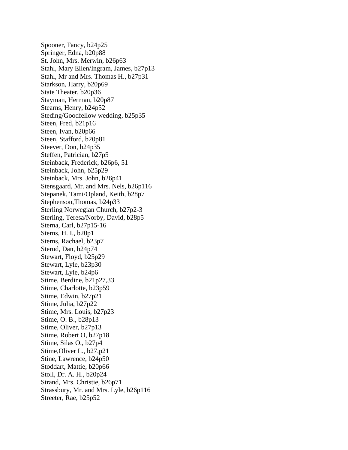Spooner, Fancy, b24p25 Springer, Edna, b20p88 St. John, Mrs. Merwin, b26p63 Stahl, Mary Ellen/Ingram, James, b27p13 Stahl, Mr and Mrs. Thomas H., b27p31 Starkson, Harry, b20p69 State Theater, b20p36 Stayman, Herman, b20p87 Stearns, Henry, b24p52 Steding/Goodfellow wedding, b25p35 Steen, Fred, b21p16 Steen, Ivan, b20p66 Steen, Stafford, b20p81 Steever, Don, b24p35 Steffen, Patrician, b27p5 Steinback, Frederick, b26p6, 51 Steinback, John, b25p29 Steinback, Mrs. John, b26p41 Stensgaard, Mr. and Mrs. Nels, b26p116 Stepanek, Tami/Opland, Keith, b28p7 Stephenson,Thomas, b24p33 Sterling Norwegian Church, b27p2-3 Sterling, Teresa/Norby, David, b28p5 Sterna, Carl, b27p15-16 Sterns, H. I., b20p1 Sterns, Rachael, b23p7 Sterud, Dan, b24p74 Stewart, Floyd, b25p29 Stewart, Lyle, b23p30 Stewart, Lyle, b24p6 Stime, Berdine, b21p27,33 Stime, Charlotte, b23p59 Stime, Edwin, b27p21 Stime, Julia, b27p22 Stime, Mrs. Louis, b27p23 Stime, O. B., b28p13 Stime, Oliver, b27p13 Stime, Robert O, b27p18 Stime, Silas O., b27p4 Stime,Oliver L., b27,p21 Stine, Lawrence, b24p50 Stoddart, Mattie, b20p66 Stoll, Dr. A. H., b20p24 Strand, Mrs. Christie, b26p71 Strassbury, Mr. and Mrs. Lyle, b26p116 Streeter, Rae, b25p52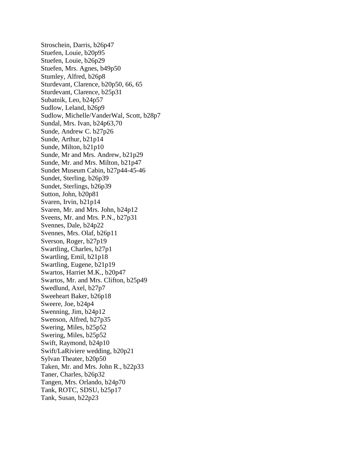Stroschein, Darris, b26p47 Stuefen, Louie, b20p95 Stuefen, Louie, b26p29 Stuefen, Mrs. Agnes, b49p50 Stumley, Alfred, b26p8 Sturdevant, Clarence, b20p50, 66, 65 Sturdevant, Clarence, b25p31 Subatnik, Leo, b24p57 Sudlow, Leland, b26p9 Sudlow, Michelle/VanderWal, Scott, b28p7 Sundal, Mrs. Ivan, b24p63,70 Sunde, Andrew C. b27p26 Sunde, Arthur, b21p14 Sunde, Milton, b21p10 Sunde, Mr and Mrs. Andrew, b21p29 Sunde, Mr. and Mrs. Milton, b21p47 Sundet Museum Cabin, b27p44-45-46 Sundet, Sterling, b26p39 Sundet, Sterlings, b26p39 Sutton, John, b20p81 Svaren, Irvin, b21p14 Svaren, Mr. and Mrs. John, b24p12 Sveens, Mr. and Mrs. P.N., b27p31 Svennes, Dale, b24p22 Svennes, Mrs. Olaf, b26p11 Sverson, Roger, b27p19 Swartling, Charles, b27p1 Swartling, Emil, b21p18 Swartling, Eugene, b21p19 Swartos, Harriet M.K., b20p47 Swartos, Mr. and Mrs. Clifton, b25p49 Swedlund, Axel, b27p7 Sweeheart Baker, b26p18 Sweere, Joe, b24p4 Swenning, Jim, b24p12 Swenson, Alfred, b27p35 Swering, Miles, b25p52 Swering, Miles, b25p52 Swift, Raymond, b24p10 Swift/LaRiviere wedding, b20p21 Sylvan Theater, b20p50 Taken, Mr. and Mrs. John R., b22p33 Taner, Charles, b26p32 Tangen, Mrs. Orlando, b24p70 Tank, ROTC, SDSU, b25p17 Tank, Susan, b22p23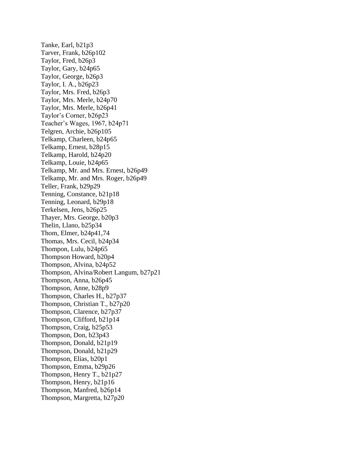Tanke, Earl, b21p3 Tarver, Frank, b26p102 Taylor, Fred, b26p3 Taylor, Gary, b24p65 Taylor, George, b26p3 Taylor, I. A., b26p23 Taylor, Mrs. Fred, b26p3 Taylor, Mrs. Merle, b24p70 Taylor, Mrs. Merle, b26p41 Taylor's Corner, b26p23 Teacher's Wages, 1967, b24p71 Telgren, Archie, b26p105 Telkamp, Charleen, b24p65 Telkamp, Ernest, b28p15 Telkamp, Harold, b24p20 Telkamp, Louie, b24p65 Telkamp, Mr. and Mrs. Ernest, b26p49 Telkamp, Mr. and Mrs. Roger, b26p49 Teller, Frank, b29p29 Tenning, Constance, b21p18 Tenning, Leonard, b29p18 Terkelsen, Jens, b26p25 Thayer, Mrs. George, b20p3 Thelin, Llano, b25p34 Thom, Elmer, b24p41,74 Thomas, Mrs. Cecil, b24p34 Thompon, Lulu, b24p65 Thompson Howard, b20p4 Thompson, Alvina, b24p52 Thompson, Alvina/Robert Langum, b27p21 Thompson, Anna, b26p45 Thompson, Anne, b28p9 Thompson, Charles H., b27p37 Thompson, Christian T., b27p20 Thompson, Clarence, b27p37 Thompson, Clifford, b21p14 Thompson, Craig, b25p53 Thompson, Don, b23p43 Thompson, Donald, b21p19 Thompson, Donald, b21p29 Thompson, Elias, b20p1 Thompson, Emma, b29p26 Thompson, Henry T., b21p27 Thompson, Henry, b21p16 Thompson, Manfred, b26p14 Thompson, Margretta, b27p20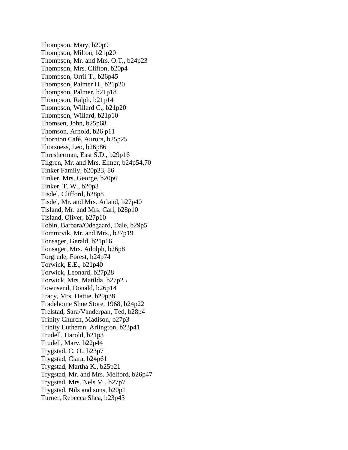Thompson, Mary, b20p9 Thompson, Milton, b21p20 Thompson, Mr. and Mrs. O.T., b24p23 Thompson, Mrs. Clifton, b20p4 Thompson, Orril T., b26p45 Thompson, Palmer H., b21p20 Thompson, Palmer, b21p18 Thompson, Ralph, b21p14 Thompson, Willard C., b21p20 Thompson, Willard, b21p10 Thomsen, John, b25p68 Thomson, Arnold, b26 p11 Thornton Café, Aurora, b25p25 Thorsness, Leo, b26p86 Thresherman, East S.D., b29p16 Tilgren, Mr. and Mrs. Elmer, b24p54,70 Tinker Family, b20p33, 86 Tinker, Mrs. George, b20p6 Tinker, T. W., b20p3 Tisdel, Clifford, b28p8 Tisdel, Mr. and Mrs. Arland, b27p40 Tisland, Mr. and Mrs. Carl, b28p10 Tisland, Oliver, b27p10 Tobin, Barbara/Odegaard, Dale, b29p5 Tommrvik, Mr. and Mrs., b27p19 Tonsager, Gerald, b21p16 Tonsager, Mrs. Adolph, b26p8 Torgrude, Forest, b24p74 Torwick, E.E., b21p40 Torwick, Leonard, b27p28 Torwick, Mrs. Matilda, b27p23 Townsend, Donald, b26p14 Tracy, Mrs. Hattie, b29p38 Tradehome Shoe Store, 1968, b24p22 Trelstad, Sara/Vanderpan, Ted, b28p4 Trinity Church, Madison, b27p3 Trinity Lutheran, Arlington, b23p41 Trudell, Harold, b21p3 Trudell, Marv, b22p44 Trygstad, C. O., b23p7 Trygstad, Clara, b24p61 Trygstad, Martha K., b25p21 Trygstad, Mr. and Mrs. Melford, b26p47 Trygstad, Mrs. Nels M., b27p7 Trygstad, Nils and sons, b20p1 Turner, Rebecca Shea, b23p43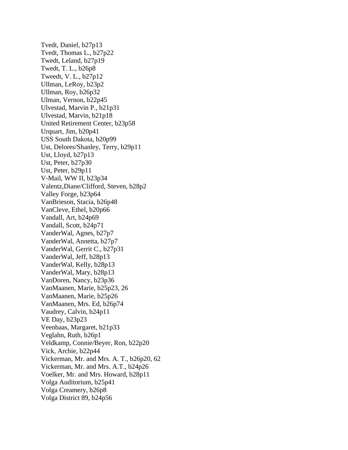Tvedt, Daniel, b27p13 Tvedt, Thomas L., b27p22 Twedt, Leland, b27p19 Twedt, T. L., b26p8 Tweedt, V. L., b27p12 Ullman, LeRoy, b23p2 Ullman, Roy, b26p32 Ulman, Vernon, b22p45 Ulvestad, Marvin P., b21p31 Ulvestad, Marvin, b21p18 United Retirement Center, b23p58 Urquart, Jim, b20p41 USS South Dakota, b20p99 Ust, Delores/Shanley, Terry, b29p11 Ust, Lloyd, b27p13 Ust, Peter, b27p30 Ust, Peter, b29p11 V-Mail, WW II, b23p34 Valentz,Diane/Clifford, Steven, b28p2 Valley Forge, b23p64 VanBrieson, Stacia, b26p48 VanCleve, Ethel, b20p66 Vandall, Art, b24p69 Vandall, Scott, b24p71 VanderWal, Agnes, b27p7 VanderWal, Annetta, b27p7 VanderWal, Gerrit C., b27p31 VanderWal, Jeff, b28p13 VanderWal, Kelly, b28p13 VanderWal, Mary, b28p13 VanDoren, Nancy, b23p36 VanMaanen, Marie, b25p23, 26 VanMaanen, Marie, b25p26 VanMaanen, Mrs. Ed, b26p74 Vaudrey, Calvin, b24p11 VE Day, b23p23 Veenbaas, Margaret, b21p33 Veglahn, Ruth, b26p1 Veldkamp, Connie/Beyer, Ron, b22p20 Vick, Archie, b22p44 Vickerman, Mr. and Mrs. A. T., b26p20, 62 Vickerman, Mr. and Mrs. A.T., b24p26 Voelker, Mr. and Mrs. Howard, b28p11 Volga Auditorium, b25p41 Volga Creamery, b26p8 Volga District 89, b24p56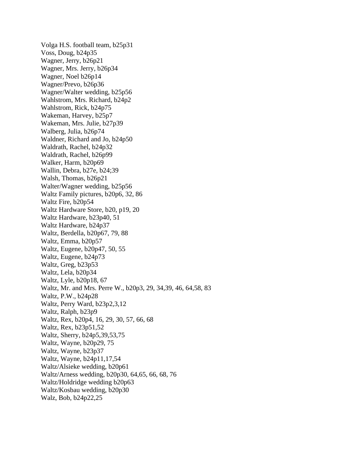Volga H.S. football team, b25p31 Voss, Doug, b24p35 Wagner, Jerry, b26p21 Wagner, Mrs. Jerry, b26p34 Wagner, Noel b26p14 Wagner/Prevo, b26p36 Wagner/Walter wedding, b25p56 Wahlstrom, Mrs. Richard, b24p2 Wahlstrom, Rick, b24p75 Wakeman, Harvey, b25p7 Wakeman, Mrs. Julie, b27p39 Walberg, Julia, b26p74 Waldner, Richard and Jo, b24p50 Waldrath, Rachel, b24p32 Waldrath, Rachel, b26p99 Walker, Harm, b20p69 Wallin, Debra, b27e, b24;39 Walsh, Thomas, b26p21 Walter/Wagner wedding, b25p56 Waltz Family pictures, b20p6, 32, 86 Waltz Fire, b20p54 Waltz Hardware Store, b20, p19, 20 Waltz Hardware, b23p40, 51 Waltz Hardware, b24p37 Waltz, Berdella, b20p67, 79, 88 Waltz, Emma, b20p57 Waltz, Eugene, b20p47, 50, 55 Waltz, Eugene, b24p73 Waltz, Greg, b23p53 Waltz, Lela, b20p34 Waltz, Lyle, b20p18, 67 Waltz, Mr. and Mrs. Perre W., b20p3, 29, 34,39, 46, 64,58, 83 Waltz, P.W., b24p28 Waltz, Perry Ward, b23p2,3,12 Waltz, Ralph, b23p9 Waltz, Rex, b20p4, 16, 29, 30, 57, 66, 68 Waltz, Rex, b23p51,52 Waltz, Sherry, b24p5,39,53,75 Waltz, Wayne, b20p29, 75 Waltz, Wayne, b23p37 Waltz, Wayne, b24p11,17,54 Waltz/Alsieke wedding, b20p61 Waltz/Arness wedding, b20p30, 64,65, 66, 68, 76 Waltz/Holdridge wedding b20p63 Waltz/Kosbau wedding, b20p30 Walz, Bob, b24p22,25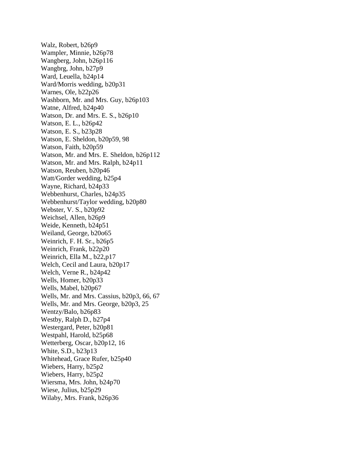Walz, Robert, b26p9 Wampler, Minnie, b26p78 Wangberg, John, b26p116 Wangbrg, John, b27p9 Ward, Leuella, b24p14 Ward/Morris wedding, b20p31 Warnes, Ole, b22p26 Washborn, Mr. and Mrs. Guy, b26p103 Watne, Alfred, b24p40 Watson, Dr. and Mrs. E. S., b26p10 Watson, E. L., b26p42 Watson, E. S., b23p28 Watson, E. Sheldon, b20p59, 98 Watson, Faith, b20p59 Watson, Mr. and Mrs. E. Sheldon, b26p112 Watson, Mr. and Mrs. Ralph, b24p11 Watson, Reuben, b20p46 Watt/Gorder wedding, b25p4 Wayne, Richard, b24p33 Webbenhurst, Charles, b24p35 Webbenhurst/Taylor wedding, b20p80 Webster, V. S., b20p92 Weichsel, Allen, b26p9 Weide, Kenneth, b24p51 Weiland, George, b20o65 Weinrich, F. H. Sr., b26p5 Weinrich, Frank, b22p20 Weinrich, Ella M., b22,p17 Welch, Cecil and Laura, b20p17 Welch, Verne R., b24p42 Wells, Homer, b20p33 Wells, Mabel, b20p67 Wells, Mr. and Mrs. Cassius, b20p3, 66, 67 Wells, Mr. and Mrs. George, b20p3, 25 Wentzy/Balo, b26p83 Westby, Ralph D., b27p4 Westergard, Peter, b20p81 Westpahl, Harold, b25p68 Wetterberg, Oscar, b20p12, 16 White, S.D., b23p13 Whitehead, Grace Rufer, b25p40 Wiebers, Harry, b25p2 Wiebers, Harry, b25p2 Wiersma, Mrs. John, b24p70 Wiese, Julius, b25p29 Wilaby, Mrs. Frank, b26p36